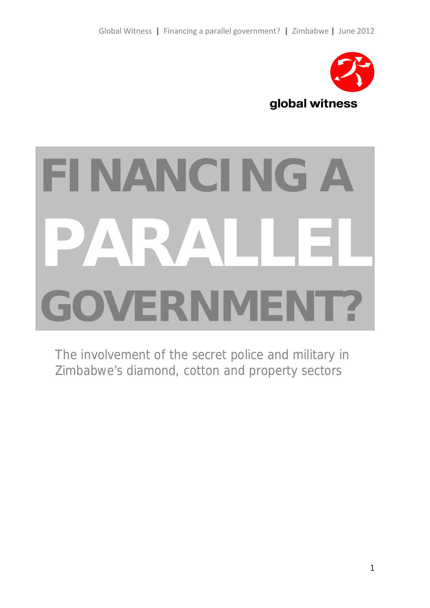

# **FINANCING A PARALLEL GOVERNMENT?**

The involvement of the secret police and military in Zimbabwe's diamond, cotton and property sectors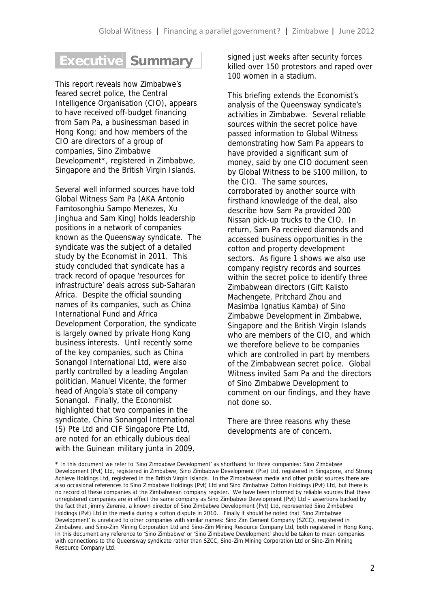## **Executive Summary**

This report reveals how Zimbabwe's feared secret police, the Central Intelligence Organisation (CIO), appears to have received off-budget financing from Sam Pa, a businessman based in Hong Kong; and how members of the CIO are directors of a group of companies, Sino Zimbabwe Development\*, registered in Zimbabwe, Singapore and the British Virgin Islands.

Several well informed sources have told Global Witness Sam Pa (AKA Antonio Famtosonghiu Sampo Menezes, Xu Jinghua and Sam King) holds leadership positions in a network of companies known as the Queensway syndicate. The syndicate was the subject of a detailed study by the *Economist* in 2011. This study concluded that syndicate has a track record of opaque 'resources for infrastructure' deals across sub-Saharan Africa. Despite the official sounding names of its companies, such as China International Fund and Africa Development Corporation, the syndicate is largely owned by private Hong Kong business interests. Until recently some of the key companies, such as China Sonangol International Ltd, were also partly controlled by a leading Angolan politician, Manuel Vicente, the former head of Angola's state oil company Sonangol. Finally, the *Economist* highlighted that two companies in the syndicate, China Sonangol International (S) Pte Ltd and CIF Singapore Pte Ltd, are noted for an ethically dubious deal with the Guinean military junta in 2009,

signed just weeks after security forces killed over 150 protestors and raped over 100 women in a stadium.

This briefing extends the *Economist's* analysis of the Queensway syndicate's activities in Zimbabwe. Several reliable sources within the secret police have passed information to Global Witness demonstrating how Sam Pa appears to have provided a significant sum of money, said by one CIO document seen by Global Witness to be \$100 million, to the CIO. The same sources, corroborated by another source with firsthand knowledge of the deal, also describe how Sam Pa provided 200 Nissan pick-up trucks to the CIO. In return, Sam Pa received diamonds and accessed business opportunities in the cotton and property development sectors. As figure 1 shows we also use company registry records and sources within the secret police to identify three Zimbabwean directors (Gift Kalisto Machengete, Pritchard Zhou and Masimba Ignatius Kamba) of Sino Zimbabwe Development in Zimbabwe, Singapore and the British Virgin Islands who are members of the CIO, and which we therefore believe to be companies which are controlled in part by members of the Zimbabwean secret police. Global Witness invited Sam Pa and the directors of Sino Zimbabwe Development to comment on our findings, and they have not done so.

There are three reasons why these developments are of concern.

<sup>\*</sup> In this document we refer to 'Sino Zimbabwe Development' as shorthand for three companies: Sino Zimbabwe Development (Pvt) Ltd, registered in Zimbabwe; Sino Zimbabwe Development (Pte) Ltd, registered in Singapore, and Strong Achieve Holdings Ltd, registered in the British Virgin Islands. In the Zimbabwean media and other public sources there are also occasional references to Sino Zimbabwe Holdings (Pvt) Ltd and Sino Zimbabwe Cotton Holdings (Pvt) Ltd, but there is no record of these companies at the Zimbabwean company register. We have been informed by reliable sources that these unregistered companies are in effect the same company as Sino Zimbabwe Development (Pvt) Ltd – assertions backed by the fact that Jimmy Zerenie, a known director of Sino Zimbabwe Development (Pvt) Ltd, represented Sino Zimbabwe Holdings (Pvt) Ltd in the media during a cotton dispute in 2010. Finally it should be noted that 'Sino Zimbabwe Development' is unrelated to other companies with similar names: Sino Zim Cement Company (SZCC), registered in Zimbabwe, and Sino-Zim Mining Corporation Ltd and Sino-Zim Mining Resource Company Ltd, both registered in Hong Kong. In this document any reference to 'Sino Zimbabwe' or 'Sino Zimbabwe Development' should be taken to mean companies with connections to the Queensway syndicate rather than SZCC, Sino-Zim Mining Corporation Ltd or Sino-Zim Mining Resource Company Ltd.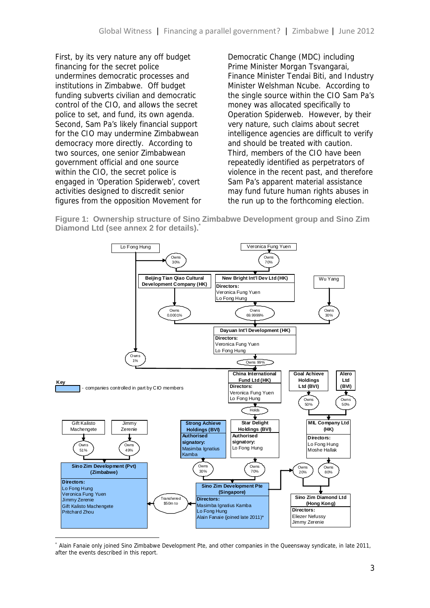First, by its very nature any off budget financing for the secret police undermines democratic processes and institutions in Zimbabwe. Off budget funding subverts civilian and democratic control of the CIO, and allows the secret police to set, and fund, its own agenda. Second, Sam Pa's likely financial support for the CIO may undermine Zimbabwean democracy more directly. According to two sources, one senior Zimbabwean government official and one source within the CIO, the secret police is engaged in 'Operation Spiderweb', covert activities designed to discredit senior figures from the opposition Movement for Democratic Change (MDC) including Prime Minister Morgan Tsvangarai, Finance Minister Tendai Biti, and Industry Minister Welshman Ncube. According to the single source within the CIO Sam Pa's money was allocated specifically to Operation Spiderweb. However, by their very nature, such claims about secret intelligence agencies are difficult to verify and should be treated with caution. Third, members of the CIO have been repeatedly identified as perpetrators of violence in the recent past, and therefore Sam Pa's apparent material assistance may fund future human rights abuses in the run up to the forthcoming election.

**Figure 1: Ownership structure of Sino Zimbabwe Development group and Sino Zim Diamond Ltd (see annex 2 for details).\***



<sup>\*</sup> Alain Fanaie only joined Sino Zimbabwe Development Pte, and other companies in the Queensway syndicate, in late 2011, after the events described in this report.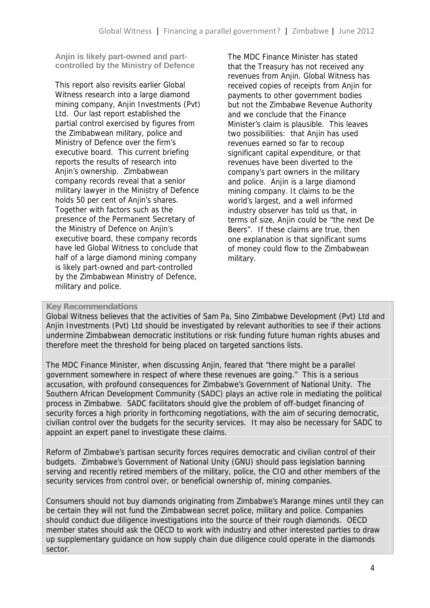**Anjin is likely part-owned and part controlled by the Ministry of Defence**

This report also revisits earlier Global Witness research into a large diamond mining company, Anjin Investments (Pvt) Ltd. Our last report established the partial control exercised by figures from the Zimbabwean military, police and Ministry of Defence over the firm's executive board. This current briefing reports the results of research into Anjin's ownership. Zimbabwean company records reveal that a senior military lawyer in the Ministry of Defence holds 50 per cent of Anjin's shares. Together with factors such as the presence of the Permanent Secretary of the Ministry of Defence on Anjin's executive board, these company records have led Global Witness to conclude that half of a large diamond mining company is likely part-owned and part-controlled by the Zimbabwean Ministry of Defence, military and police.

The MDC Finance Minister has stated that the Treasury has not received any revenues from Anjin. Global Witness has received copies of receipts from Anjin for payments to other government bodies but not the Zimbabwe Revenue Authority and we conclude that the Finance Minister's claim is plausible. This leaves two possibilities: that Anjin has used revenues earned so far to recoup significant capital expenditure, or that revenues have been diverted to the company's part owners in the military and police. Anjin is a large diamond mining company. It claims to be the world's largest, and a well informed industry observer has told us that, in terms of size, Anjin could be "the next De Beers". If these claims are true, then one explanation is that significant sums of money could flow to the Zimbabwean military.

#### **Key Recommendations**

Global Witness believes that the activities of Sam Pa, Sino Zimbabwe Development (Pvt) Ltd and Anjin Investments (Pvt) Ltd should be investigated by relevant authorities to see if their actions undermine Zimbabwean democratic institutions or risk funding future human rights abuses and therefore meet the threshold for being placed on targeted sanctions lists.

The MDC Finance Minister, when discussing Anjin, feared that "there might be a parallel government somewhere in respect of where these revenues are going." This is a serious accusation, with profound consequences for Zimbabwe's Government of National Unity. The Southern African Development Community (SADC) plays an active role in mediating the political process in Zimbabwe. SADC facilitators should give the problem of off-budget financing of security forces a high priority in forthcoming negotiations, with the aim of securing democratic, civilian control over the budgets for the security services. It may also be necessary for SADC to appoint an expert panel to investigate these claims.

Reform of Zimbabwe's partisan security forces requires democratic and civilian control of their budgets. Zimbabwe's Government of National Unity (GNU) should pass legislation banning serving and recently retired members of the military, police, the CIO and other members of the security services from control over, or beneficial ownership of, mining companies.

Consumers should not buy diamonds originating from Zimbabwe's Marange mines until they can be certain they will not fund the Zimbabwean secret police, military and police. Companies should conduct due diligence investigations into the source of their rough diamonds. OECD member states should ask the OECD to work with industry and other interested parties to draw up supplementary guidance on how supply chain due diligence could operate in the diamonds sector.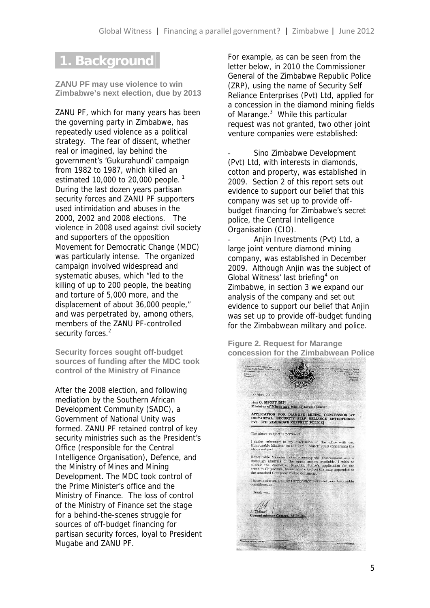## **1. Background**

**ZANU PF may use violence to win Zimbabwe's next election, due by 2013**

ZANU PF, which for many years has been the governing party in Zimbabwe, has repeatedly used violence as a political strategy. The fear of dissent, whether real or imagined, lay behind the government's 'Gukurahundi' campaign from 1982 to 1987, which killed an estimated 10,000 to 20,000 people.<sup>1</sup> During the last dozen years partisan security forces and ZANU PF supporters used intimidation and abuses in the 2000, 2002 and 2008 elections. The violence in 2008 used against civil society and supporters of the opposition Movement for Democratic Change (MDC) was particularly intense. The organized campaign involved widespread and systematic abuses, which "led to the killing of up to 200 people, the beating and torture of 5,000 more, and the displacement of about 36,000 people," and was perpetrated by, among others, members of the ZANU PF-controlled security forces.<sup>2</sup>

**Security forces sought off-budget sources of funding after the MDC took control of the Ministry of Finance**

After the 2008 election, and following mediation by the Southern African Development Community (SADC), a Government of National Unity was formed. ZANU PF retained control of key security ministries such as the President's Office (responsible for the Central Intelligence Organisation), Defence, and the Ministry of Mines and Mining Development. The MDC took control of the Prime Minister's office and the Ministry of Finance. The loss of control of the Ministry of Finance set the stage for a behind-the-scenes struggle for sources of off-budget financing for partisan security forces, loyal to President Mugabe and ZANU PF.

For example, as can be seen from the letter below, in 2010 the Commissioner General of the Zimbabwe Republic Police (ZRP), using the name of Security Self Reliance Enterprises (Pvt) Ltd, applied for a concession in the diamond mining fields of Marange.<sup>3</sup> While this particular request was not granted, two other joint venture companies were established:

Sino Zimbabwe Development (Pvt) Ltd, with interests in diamonds, cotton and property, was established in 2009. Section 2 of this report sets out evidence to support our belief that this company was set up to provide off budget financing for Zimbabwe's secret police, the Central Intelligence Organisation (CIO).

Anjin Investments (Pvt) Ltd, a large joint venture diamond mining company, was established in December 2009. Although Anjin was the subject of Global Witness' last briefing<sup>4</sup> on Zimbabwe, in section 3 we expand our analysis of the company and set out evidence to support our belief that Anjin was set up to provide off-budget funding for the Zimbabwean military and police.

**Figure 2. Request for Marange concession for the Zimbabwean Police**

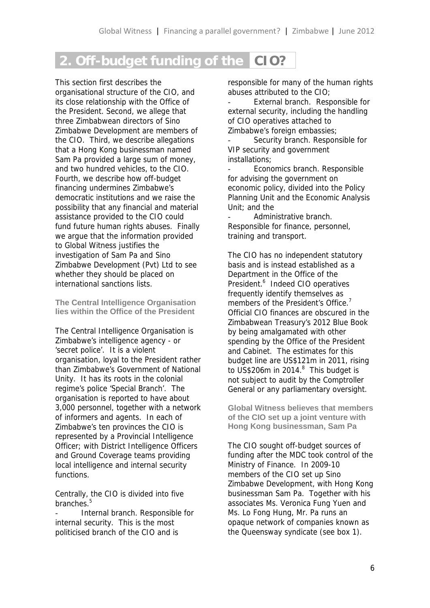# **2. Off-budget funding of the CIO?**

This section first describes the organisational structure of the CIO, and its close relationship with the Office of the President. Second, we allege that three Zimbabwean directors of Sino Zimbabwe Development are members of the CIO. Third, we describe allegations that a Hong Kong businessman named Sam Pa provided a large sum of money, and two hundred vehicles, to the CIO. Fourth, we describe how off-budget financing undermines Zimbabwe's democratic institutions and we raise the possibility that any financial and material assistance provided to the CIO could fund future human rights abuses. Finally we argue that the information provided to Global Witness justifies the investigation of Sam Pa and Sino Zimbabwe Development (Pvt) Ltd to see whether they should be placed on international sanctions lists.

**The Central Intelligence Organisation lies within the Office of the President**

The Central Intelligence Organisation is Zimbabwe's intelligence agency - or 'secret police'. It is a violent organisation, loyal to the President rather than Zimbabwe's Government of National Unity. It has its roots in the colonial regime's police 'Special Branch'. The organisation is reported to have about 3,000 personnel, together with a network of informers and agents. In each of Zimbabwe's ten provinces the CIO is represented by a Provincial Intelligence Officer; with District Intelligence Officers and Ground Coverage teams providing local intelligence and internal security functions.

Centrally, the CIO is divided into five branches<sup>5</sup>

Internal branch. Responsible for internal security. This is the most politicised branch of the CIO and is

responsible for many of the human rights abuses attributed to the CIO;

External branch. Responsible for external security, including the handling of CIO operatives attached to Zimbabwe's foreign embassies;

Security branch. Responsible for VIP security and government installations;

Economics branch. Responsible for advising the government on economic policy, divided into the Policy Planning Unit and the Economic Analysis Unit; and the

Administrative branch. Responsible for finance, personnel, training and transport.

The CIO has no independent statutory basis and is instead established as a Department in the Office of the President.<sup>6</sup> Indeed CIO operatives frequently identify themselves as members of the President's Office.<sup>7</sup> Official CIO finances are obscured in the Zimbabwean Treasury's 2012 Blue Book by being amalgamated with other spending by the Office of the President and Cabinet. The estimates for this budget line are US\$121m in 2011, rising to US\$206m in 2014. $8$  This budget is not subject to audit by the Comptroller General or any parliamentary oversight.

**Global Witness believes that members of the CIO set up a joint venture with Hong Kong businessman, Sam Pa**

The CIO sought off-budget sources of funding after the MDC took control of the Ministry of Finance. In 2009-10 members of the CIO set up Sino Zimbabwe Development, with Hong Kong businessman Sam Pa. Together with his associates Ms. Veronica Fung Yuen and Ms. Lo Fong Hung, Mr. Pa runs an opaque network of companies known as the Queensway syndicate (see box 1).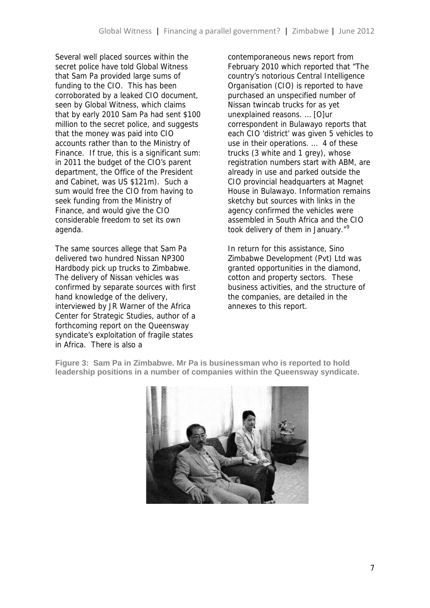Several well placed sources within the secret police have told Global Witness that Sam Pa provided large sums of funding to the CIO. This has been corroborated by a leaked CIO document, seen by Global Witness, which claims that by early 2010 Sam Pa had sent \$100 million to the secret police, and suggests that the money was paid into CIO accounts rather than to the Ministry of Finance. If true, this is a significant sum: in 2011 the budget of the CIO's parent department, the Office of the President and Cabinet, was US \$121m). Such a sum would free the CIO from having to seek funding from the Ministry of Finance, and would give the CIO considerable freedom to set its own agenda.

The same sources allege that Sam Pa delivered two hundred Nissan NP300 Hardbody pick up trucks to Zimbabwe. The delivery of Nissan vehicles was confirmed by separate sources with first hand knowledge of the delivery, interviewed by JR Warner of the Africa Center for Strategic Studies, author of a forthcoming report on the Queensway syndicate's exploitation of fragile states in Africa. There is also a

contemporaneous news report from February 2010 which reported that "The country's notorious Central Intelligence Organisation (CIO) is reported to have purchased an unspecified number of Nissan twincab trucks for as yet unexplained reasons. … [O]ur correspondent in Bulawayo reports that each CIO 'district' was given 5 vehicles to use in their operations. … 4 of these trucks (3 white and 1 grey), whose registration numbers start with ABM, are already in use and parked outside the CIO provincial headquarters at Magnet House in Bulawayo. Information remains sketchy but sources with links in the agency confirmed the vehicles were assembled in South Africa and the CIO took delivery of them in January."<sup>9</sup>

In return for this assistance, Sino Zimbabwe Development (Pvt) Ltd was granted opportunities in the diamond, cotton and property sectors. These business activities, and the structure of the companies, are detailed in the annexes to this report.

**Figure 3: Sam Pa in Zimbabwe. Mr Pa is businessman who is reported to hold leadership positions in a number of companies within the Queensway syndicate.**

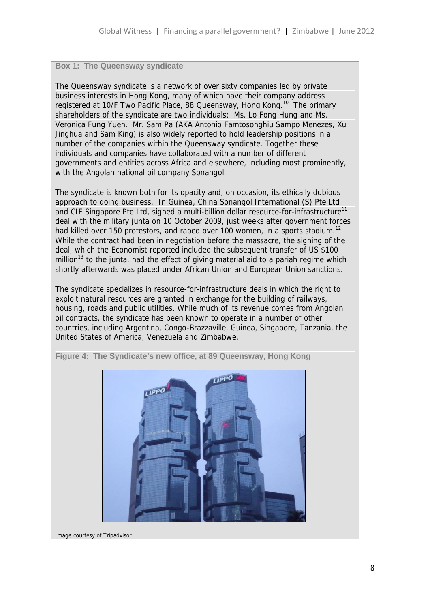#### **Box 1: The Queensway syndicate**

The Queensway syndicate is a network of over sixty companies led by private business interests in Hong Kong, many of which have their company address registered at 10/F Two Pacific Place, 88 Queensway, Hong Kong.<sup>10</sup> The primary shareholders of the syndicate are two individuals: Ms. Lo Fong Hung and Ms. Veronica Fung Yuen. Mr. Sam Pa (AKA Antonio Famtosonghiu Sampo Menezes, Xu Jinghua and Sam King) is also widely reported to hold leadership positions in a number of the companies within the Queensway syndicate. Together these individuals and companies have collaborated with a number of different governments and entities across Africa and elsewhere, including most prominently, with the Angolan national oil company Sonangol.

The syndicate is known both for its opacity and, on occasion, its ethically dubious approach to doing business. In Guinea, China Sonangol International (S) Pte Ltd and CIF Singapore Pte Ltd, signed a multi-billion dollar resource-for-infrastructure<sup>11</sup> deal with the military junta on 10 October 2009, just weeks after government forces had killed over 150 protestors, and raped over 100 women, in a sports stadium.<sup>12</sup> While the contract had been in negotiation before the massacre, the signing of the deal, which the *Economist* reported included the subsequent transfer of US \$100 million<sup>13</sup> to the junta, had the effect of giving material aid to a pariah regime which shortly afterwards was placed under African Union and European Union sanctions.

The syndicate specializes in resource-for-infrastructure deals in which the right to exploit natural resources are granted in exchange for the building of railways, housing, roads and public utilities. While much of its revenue comes from Angolan oil contracts, the syndicate has been known to operate in a number of other countries, including Argentina, Congo-Brazzaville, Guinea, Singapore, Tanzania, the United States of America, Venezuela and Zimbabwe.



**Figure 4: The Syndicate's new office, at 89 Queensway, Hong Kong**

Image courtesy of Tripadvisor.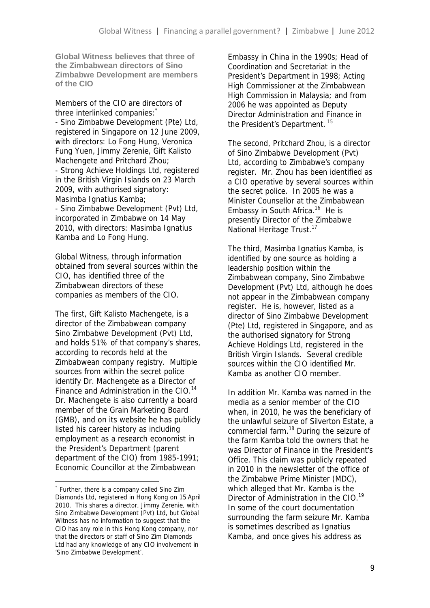**Global Witness believes that three of the Zimbabwean directors of Sino Zimbabwe Development are members of the CIO**

Members of the CIO are directors of three interlinked companies: \* - Sino Zimbabwe Development (Pte) Ltd, registered in Singapore on 12 June 2009, with directors: Lo Fong Hung, Veronica Fung Yuen, Jimmy Zerenie, Gift Kalisto Machengete and Pritchard Zhou; - Strong Achieve Holdings Ltd, registered in the British Virgin Islands on 23 March 2009, with authorised signatory: Masimba Ignatius Kamba; - Sino Zimbabwe Development (Pvt) Ltd, incorporated in Zimbabwe on 14 May

2010, with directors: Masimba Ignatius Kamba and Lo Fong Hung.

Global Witness, through information obtained from several sources within the CIO, has identified three of the Zimbabwean directors of these companies as members of the CIO.

The first, Gift Kalisto Machengete, is a director of the Zimbabwean company Sino Zimbabwe Development (Pvt) Ltd, and holds 51% of that company's shares, according to records held at the Zimbabwean company registry. Multiple sources from within the secret police identify Dr. Machengete as a Director of Finance and Administration in the CIO.<sup>14</sup> Dr. Machengete is also currently a board member of the Grain Marketing Board (GMB), and on its website he has publicly listed his career history as including employment as a research economist in the President's Department (parent department of the CIO) from 1985-1991; Economic Councillor at the Zimbabwean

Embassy in China in the 1990s; Head of Coordination and Secretariat in the President's Department in 1998; Acting High Commissioner at the Zimbabwean High Commission in Malaysia; and from 2006 he was appointed as Deputy Director Administration and Finance in the President's Department.<sup>15</sup>

The second, Pritchard Zhou, is a director of Sino Zimbabwe Development (Pvt) Ltd, according to Zimbabwe's company register. Mr. Zhou has been identified as a CIO operative by several sources within the secret police. In 2005 he was a Minister Counsellor at the Zimbabwean Embassy in South Africa. $16$  He is presently Director of the Zimbabwe National Heritage Trust.<sup>17</sup>

The third, Masimba Ignatius Kamba, is identified by one source as holding a leadership position within the Zimbabwean company, Sino Zimbabwe Development (Pvt) Ltd, although he does not appear in the Zimbabwean company register. He is, however, listed as a director of Sino Zimbabwe Development (Pte) Ltd, registered in Singapore, and as the authorised signatory for Strong Achieve Holdings Ltd, registered in the British Virgin Islands. Several credible sources within the CIO identified Mr. Kamba as another CIO member.

In addition Mr. Kamba was named in the media as a senior member of the CIO when, in 2010, he was the beneficiary of the unlawful seizure of Silverton Estate, a commercial farm.<sup>18</sup> During the seizure of the farm Kamba told the owners that he was Director of Finance in the President's Office. This claim was publicly repeated in 2010 in the newsletter of the office of the Zimbabwe Prime Minister (MDC), which alleged that Mr. Kamba is the Director of Administration in the CIO.<sup>19</sup> In some of the court documentation surrounding the farm seizure Mr. Kamba is sometimes described as Ignatius Kamba, and once gives his address as

<sup>\*</sup> Further, there is a company called Sino Zim Diamonds Ltd, registered in Hong Kong on 15 April 2010. This shares a director, Jimmy Zerenie, with Sino Zimbabwe Development (Pvt) Ltd, but Global Witness has no information to suggest that the CIO has any role in this Hong Kong company, nor that the directors or staff of Sino Zim Diamonds Ltd had any knowledge of any CIO involvement in 'Sino Zimbabwe Development'.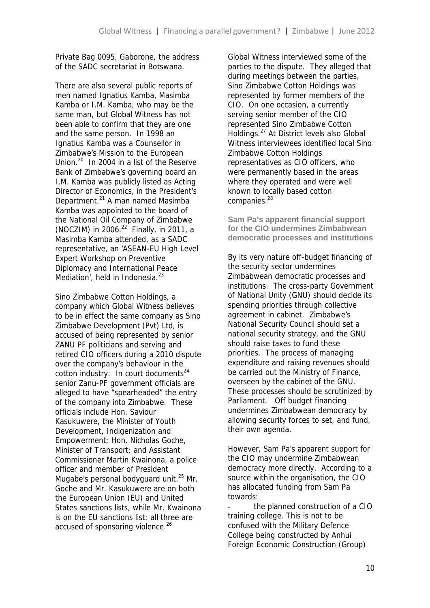Private Bag 0095, Gaborone, the address of the SADC secretariat in Botswana.

There are also several public reports of men named Ignatius Kamba, Masimba Kamba or I.M. Kamba, who may be the same man, but Global Witness has not been able to confirm that they are one and the same person. In 1998 an Ignatius Kamba was a Counsellor in Zimbabwe's Mission to the European Union.<sup>20</sup> In 2004 in a list of the Reserve Bank of Zimbabwe's governing board an I.M. Kamba was publicly listed as Acting Director of Economics, in the President's Department.<sup>21</sup> A man named Masimba Kamba was appointed to the board of the National Oil Company of Zimbabwe (NOCZIM) in 2006. $^{22}$  Finally, in 2011, a Masimba Kamba attended, as a SADC representative, an 'ASEAN-EU High Level Expert Workshop on Preventive Diplomacy and International Peace Mediation', held in Indonesia. $^{23}$ 

Sino Zimbabwe Cotton Holdings, a company which Global Witness believes to be in effect the same company as Sino Zimbabwe Development (Pvt) Ltd, is accused of being represented by senior ZANU PF politicians and serving and retired CIO officers during a 2010 dispute over the company's behaviour in the  $cotton$  industry. In court documents<sup>24</sup> senior Zanu-PF government officials are alleged to have "spearheaded" the entry of the company into Zimbabwe. These officials include Hon. Saviour Kasukuwere, the Minister of Youth Development, Indigenization and Empowerment; Hon. Nicholas Goche, Minister of Transport; and Assistant Commissioner Martin Kwainona, a police officer and member of President Mugabe's personal bodyguard unit.<sup>25</sup> Mr. Goche and Mr. Kasukuwere are on both the European Union (EU) and United States sanctions lists, while Mr. Kwainona is on the EU sanctions list: all three are accused of sponsoring violence.<sup>26</sup>

Global Witness interviewed some of the parties to the dispute. They alleged that during meetings between the parties, Sino Zimbabwe Cotton Holdings was represented by former members of the CIO. On one occasion, a currently serving senior member of the CIO represented Sino Zimbabwe Cotton Holdings.<sup>27</sup> At District levels also Global Witness interviewees identified local Sino Zimbabwe Cotton Holdings representatives as CIO officers, who were permanently based in the areas where they operated and were well known to locally based cotton companies.<sup>28</sup>

**Sam Pa's apparent financial support for the CIO undermines Zimbabwean democratic processes and institutions**

By its very nature off-budget financing of the security sector undermines Zimbabwean democratic processes and institutions. The cross-party Government of National Unity (GNU) should decide its spending priorities through collective agreement in cabinet. Zimbabwe's National Security Council should set a national security strategy, and the GNU should raise taxes to fund these priorities. The process of managing expenditure and raising revenues should be carried out the Ministry of Finance, overseen by the cabinet of the GNU. These processes should be scrutinized by Parliament. Off budget financing undermines Zimbabwean democracy by allowing security forces to set, and fund, their own agenda.

However, Sam Pa's apparent support for the CIO may undermine Zimbabwean democracy more directly. According to a source within the organisation, the CIO has allocated funding from Sam Pa towards:

the planned construction of a CIO training college. This is not to be confused with the Military Defence College being constructed by Anhui Foreign Economic Construction (Group)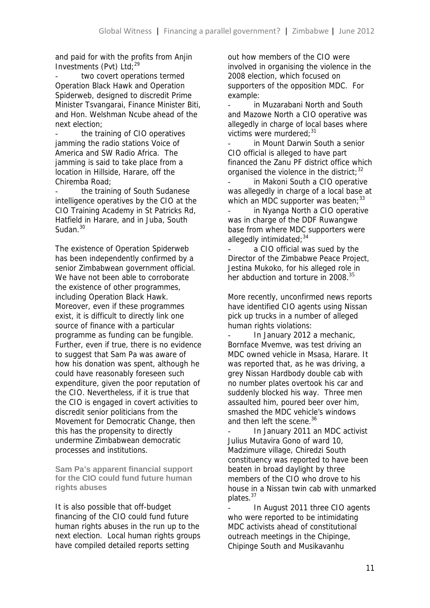and paid for with the profits from Anjin Investments (Pvt) Ltd:<sup>29</sup>

two covert operations termed Operation Black Hawk and Operation Spiderweb, designed to discredit Prime Minister Tsvangarai, Finance Minister Biti, and Hon. Welshman Ncube ahead of the next election;

the training of CIO operatives jamming the radio stations Voice of America and SW Radio Africa. The jamming is said to take place from a location in Hillside, Harare, off the Chiremba Road;

the training of South Sudanese intelligence operatives by the CIO at the CIO Training Academy in St Patricks Rd, Hatfield in Harare, and in Juba, South Sudan<sup>30</sup>

The existence of Operation Spiderweb has been independently confirmed by a senior Zimbabwean government official. We have not been able to corroborate the existence of other programmes, including Operation Black Hawk. Moreover, even if these programmes exist, it is difficult to directly link one source of finance with a particular programme as funding can be fungible. Further, even if true, there is no evidence to suggest that Sam Pa was aware of how his donation was spent, although he could have reasonably foreseen such expenditure, given the poor reputation of the CIO. Nevertheless, if it is true that the CIO is engaged in covert activities to discredit senior politicians from the Movement for Democratic Change, then this has the propensity to directly undermine Zimbabwean democratic processes and institutions.

**Sam Pa's apparent financial support for the CIO could fund future human rights abuses**

It is also possible that off-budget financing of the CIO could fund future human rights abuses in the run up to the next election. Local human rights groups have compiled detailed reports setting

out how members of the CIO were involved in organising the violence in the 2008 election, which focused on supporters of the opposition MDC. For example:

in Muzarabani North and South and Mazowe North a CIO operative was allegedly in charge of local bases where victims were murdered: 31

in Mount Darwin South a senior CIO official is alleged to have part financed the Zanu PF district office which organised the violence in the district:  $32$ 

in Makoni South a CIO operative was allegedly in charge of a local base at which an MDC supporter was beaten:  $33$ 

in Nyanga North a CIO operative was in charge of the DDF Ruwangwe base from where MDC supporters were allegedly intimidated: 34

a CIO official was sued by the Director of the Zimbabwe Peace Project, Jestina Mukoko, for his alleged role in her abduction and torture in 2008.<sup>35</sup>

More recently, unconfirmed news reports have identified CIO agents using Nissan pick up trucks in a number of alleged human rights violations:

In January 2012 a mechanic, Bornface Mvemve, was test driving an MDC owned vehicle in Msasa, Harare. It was reported that, as he was driving, a grey Nissan Hardbody double cab with no number plates overtook his car and suddenly blocked his way. Three men assaulted him, poured beer over him, smashed the MDC vehicle's windows and then left the scene.<sup>36</sup>

- In January 2011 an MDC activist Julius Mutavira Gono of ward 10, Madzimure village, Chiredzi South constituency was reported to have been beaten in broad daylight by three members of the CIO who drove to his house in a Nissan twin cab with unmarked plates.<sup>37</sup>

In August 2011 three CIO agents who were reported to be intimidating MDC activists ahead of constitutional outreach meetings in the Chipinge, Chipinge South and Musikavanhu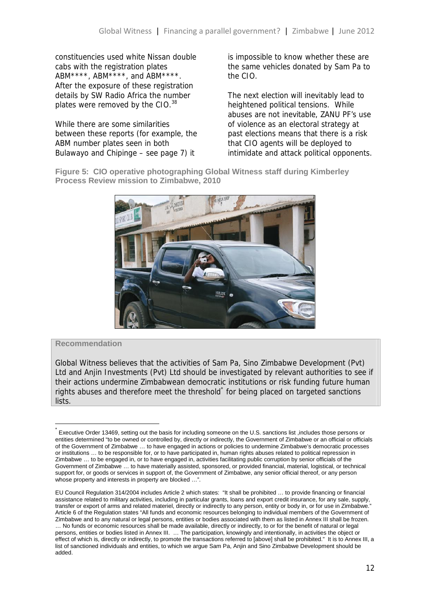constituencies used white Nissan double cabs with the registration plates ABM\*\*\*\*, ABM\*\*\*\*, and ABM\*\*\*\*. After the exposure of these registration details by SW Radio Africa the number plates were removed by the CIO.<sup>38</sup>

While there are some similarities between these reports (for example, the ABM number plates seen in both Bulawayo and Chipinge – see page 7) it

is impossible to know whether these are the same vehicles donated by Sam Pa to the CIO.

The next election will inevitably lead to heightened political tensions. While abuses are not inevitable, ZANU PF's use of violence as an electoral strategy at past elections means that there is a risk that CIO agents will be deployed to intimidate and attack political opponents.

**Figure 5: CIO operative photographing Global Witness staff during Kimberley Process Review mission to Zimbabwe, 2010**



#### **Recommendation**

Global Witness believes that the activities of Sam Pa, Sino Zimbabwe Development (Pvt) Ltd and Anjin Investments (Pvt) Ltd should be investigated by relevant authorities to see if their actions undermine Zimbabwean democratic institutions or risk funding future human rights abuses and therefore meet the threshold<sup>\*</sup> for being placed on targeted sanctions lists.

<sup>\*</sup> Executive Order 13469, setting out the basis for including someone on the U.S. sanctions list ,includes those persons or entities determined "to be owned or controlled by, directly or indirectly, the Government of Zimbabwe or an official or officials of the Government of Zimbabwe … to have engaged in actions or policies to undermine Zimbabwe's democratic processes or institutions … to be responsible for, or to have participated in, human rights abuses related to political repression in Zimbabwe … to be engaged in, or to have engaged in, activities facilitating public corruption by senior officials of the Government of Zimbabwe … to have materially assisted, sponsored, or provided financial, material, logistical, or technical support for, or goods or services in support of, the Government of Zimbabwe, any senior official thereof, or any person whose property and interests in property are blocked ...".

EU Council Regulation 314/2004 includes Article 2 which states: "It shall be prohibited … to provide financing or financial assistance related to military activities, including in particular grants, loans and export credit insurance, for any sale, supply, transfer or export of arms and related materiel, directly or indirectly to any person, entity or body in, or for use in Zimbabwe." Article 6 of the Regulation states "All funds and economic resources belonging to individual members of the Government of Zimbabwe and to any natural or legal persons, entities or bodies associated with them as listed in Annex III shall be frozen. … No funds or economic resources shall be made available, directly or indirectly, to or for the benefit of natural or legal persons, entities or bodies listed in Annex III. … The participation, knowingly and intentionally, in activities the object or effect of which is, directly or indirectly, to promote the transactions referred to [above] shall be prohibited." It is to Annex III, a list of sanctioned individuals and entities, to which we argue Sam Pa, Anjin and Sino Zimbabwe Development should be added.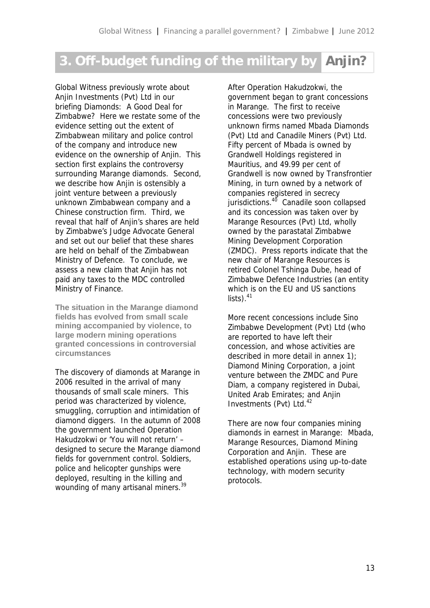# **3. Off-budget funding of the military by Anjin?**

Global Witness previously wrote about Anjin Investments (Pvt) Ltd in our briefing *Diamonds: A Good Deal for Zimbabwe?* Here we restate some of the evidence setting out the extent of Zimbabwean military and police *control* of the company and introduce new evidence on the *ownership* of Anjin. This section first explains the controversy surrounding Marange diamonds. Second, we describe how Anjin is ostensibly a joint venture between a previously unknown Zimbabwean company and a Chinese construction firm. Third, we reveal that half of Anjin's shares are held by Zimbabwe's Judge Advocate General and set out our belief that these shares are held on behalf of the Zimbabwean Ministry of Defence. To conclude, we assess a new claim that Anjin has not paid any taxes to the MDC controlled Ministry of Finance.

**The situation in the Marange diamond fields has evolved from small scale mining accompanied by violence, to large modern mining operations granted concessions in controversial circumstances**

The discovery of diamonds at Marange in 2006 resulted in the arrival of many thousands of small scale miners. This period was characterized by violence, smuggling, corruption and intimidation of diamond diggers. In the autumn of 2008 the government launched Operation Hakudzokwi or 'You will not return' – designed to secure the Marange diamond fields for government control. Soldiers, police and helicopter gunships were deployed, resulting in the killing and wounding of many artisanal miners.<sup>39</sup>

After Operation Hakudzokwi, the government began to grant concessions in Marange. The first to receive concessions were two previously unknown firms named Mbada Diamonds (Pvt) Ltd and Canadile Miners (Pvt) Ltd. Fifty percent of Mbada is owned by Grandwell Holdings registered in Mauritius, and 49.99 per cent of Grandwell is now owned by Transfrontier Mining, in turn owned by a network of companies registered in secrecy jurisdictions.<sup>40</sup> Canadile soon collapsed and its concession was taken over by Marange Resources (Pvt) Ltd, wholly owned by the parastatal Zimbabwe Mining Development Corporation (ZMDC). Press reports indicate that the new chair of Marange Resources is retired Colonel Tshinga Dube, head of Zimbabwe Defence Industries (an entity which is on the EU and US sanctions  $lists)$ .  $41$ 

More recent concessions include Sino Zimbabwe Development (Pvt) Ltd (who are reported to have left their concession, and whose activities are described in more detail in annex 1); Diamond Mining Corporation, a joint venture between the ZMDC and Pure Diam, a company registered in Dubai, United Arab Emirates; and Anjin Investments  $(Pvt)$  Ltd.<sup>42</sup>

There are now four companies mining diamonds in earnest in Marange: Mbada, Marange Resources, Diamond Mining Corporation and Anjin. These are established operations using up-to-date technology, with modern security protocols.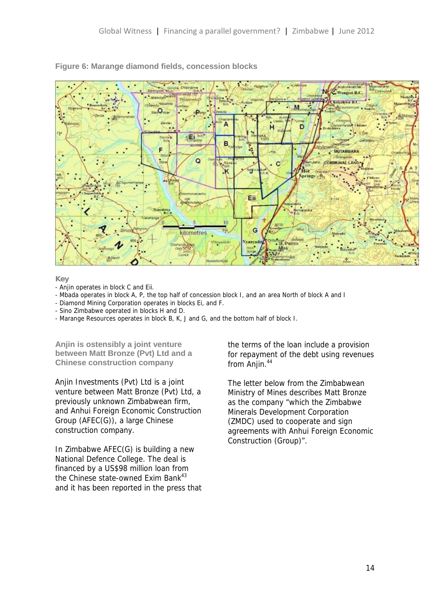

#### **Figure 6: Marange diamond fields, concession blocks**

**Key**

- Anjin operates in block C and Eii.
- Mbada operates in block A, P, the top half of concession block I, and an area North of block A and I
- Diamond Mining Corporation operates in blocks Ei, and F.
- Sino Zimbabwe operated in blocks H and D.
- Marange Resources operates in block B, K, J and G, and the bottom half of block I.

**Anjin is ostensibly a joint venture between Matt Bronze (Pvt) Ltd and a Chinese construction company**

Anjin Investments (Pvt) Ltd is a joint venture between Matt Bronze (Pvt) Ltd, a previously unknown Zimbabwean firm, and Anhui Foreign Economic Construction Group (AFEC(G)), a large Chinese construction company.

In Zimbabwe AFEC(G) is building a new National Defence College. The deal is financed by a US\$98 million loan from the Chinese state-owned Exim Bank<sup>43</sup> and it has been reported in the press that

the terms of the loan include a provision for repayment of the debt using revenues from Anjin.<sup>44</sup>

The letter below from the Zimbabwean Ministry of Mines describes Matt Bronze as the company "which the Zimbabwe Minerals Development Corporation (ZMDC) used to cooperate and sign agreements with Anhui Foreign Economic Construction (Group)".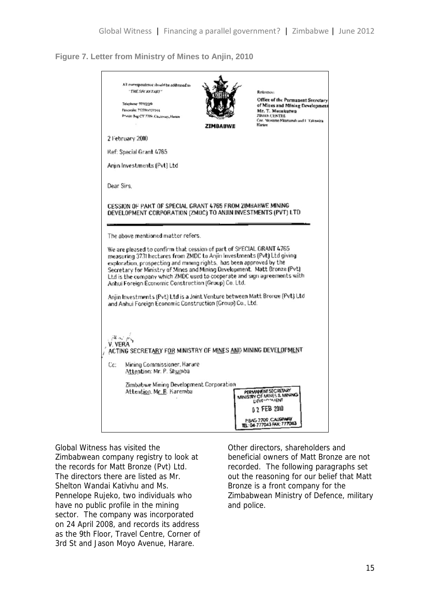**Figure 7. Letter from Ministry of Mines to Anjin, 2010**

|                                               | All encrespondence should be addressed to<br>"THE SECRETARY"<br>Telephone: 177022/9<br>Fascarale: 75378cv777944<br>Private Bag CY 7709, Causeway, Humm                                                                                                                                                                                                                                                                                   | <b>ZIMBABWE</b> | Reference:<br>Office of the Permanent Secretary<br>of Mines and Mining Development<br>Mr. T. Musukutwa<br><b>ZIMRE CENTRE</b><br>Cor. Newame Nicurumah and 1 'Calenwira'<br><b>Elseane</b> |  |
|-----------------------------------------------|------------------------------------------------------------------------------------------------------------------------------------------------------------------------------------------------------------------------------------------------------------------------------------------------------------------------------------------------------------------------------------------------------------------------------------------|-----------------|--------------------------------------------------------------------------------------------------------------------------------------------------------------------------------------------|--|
|                                               | 2 February 2010                                                                                                                                                                                                                                                                                                                                                                                                                          |                 |                                                                                                                                                                                            |  |
|                                               | Ref: Special Grant 4765                                                                                                                                                                                                                                                                                                                                                                                                                  |                 |                                                                                                                                                                                            |  |
|                                               | Anjin Investments (Pvt) Ltd                                                                                                                                                                                                                                                                                                                                                                                                              |                 |                                                                                                                                                                                            |  |
| Dear Sirs.                                    |                                                                                                                                                                                                                                                                                                                                                                                                                                          |                 |                                                                                                                                                                                            |  |
|                                               | CESSION OF PART OF SPECIAL GRANT 4765 FROM ZIMBABWE MINING<br>DEVELOPMENT CORPORATION (ZMDC) TO ANJIN INVESTMENTS (PVT) LTD<br>The above mentioned matter refers.                                                                                                                                                                                                                                                                        |                 |                                                                                                                                                                                            |  |
|                                               |                                                                                                                                                                                                                                                                                                                                                                                                                                          |                 |                                                                                                                                                                                            |  |
|                                               | We are pleased to confirm that cession of part of SPECIAL GRANT 4765<br>measuring 3731 hectares from ZMDC to Anjin Investments (Pvt) Ltd giving<br>exploration, prospecting and mining rights, has been approved by the<br>Secretary for Ministry of Mines and Mining Development. Matt Bronze (Pvt)<br>Ltd is the company which ZMDC used to cooperate and sign agreements with<br>Anhui Foreign Economic Construction (Group) Co. Ltd. |                 |                                                                                                                                                                                            |  |
|                                               | Anjin Investments (Pvt) Ltd is a Joint Venture between Matt Bronze (Pvt) Ltd<br>and Anhui Foreign Economic Construction (Group) Co., Ltd.                                                                                                                                                                                                                                                                                                |                 |                                                                                                                                                                                            |  |
|                                               |                                                                                                                                                                                                                                                                                                                                                                                                                                          |                 |                                                                                                                                                                                            |  |
| $46.57\,\mu_{\rm B}$<br><b>V. VERA</b><br>Cc: | ACTING SECRETARY FOR MINISTRY OF MINES AND MINING DEVELOPMENT<br>Mining Commissioner, Harare<br>Attention: Mr. P. Shumba                                                                                                                                                                                                                                                                                                                 |                 |                                                                                                                                                                                            |  |
|                                               | Zimbabwe Mining Development Corporation<br>Attention, Mr. R. Karemba                                                                                                                                                                                                                                                                                                                                                                     |                 | PERMANENT SECRETARY<br>MINISTRY OF MINES & MINING<br>DEVELOPMAENT<br>0 2 FEB 2010<br>P BAG 7709 CAUSEWAY<br>TEL: 04-777043 FAX: 777043                                                     |  |

Global Witness has visited the

Zimbabwean company registry to look at the records for Matt Bronze (Pvt) Ltd. The directors there are listed as Mr. Shelton Wandai Kativhu and Ms. Pennelope Rujeko, two individuals who have no public profile in the mining sector. The company was incorporated on 24 April 2008, and records its address as the 9th Floor, Travel Centre, Corner of 3rd St and Jason Moyo Avenue, Harare.

Other directors, shareholders and beneficial owners of Matt Bronze are not recorded. The following paragraphs set out the reasoning for our belief that Matt Bronze is a front company for the Zimbabwean Ministry of Defence, military and police.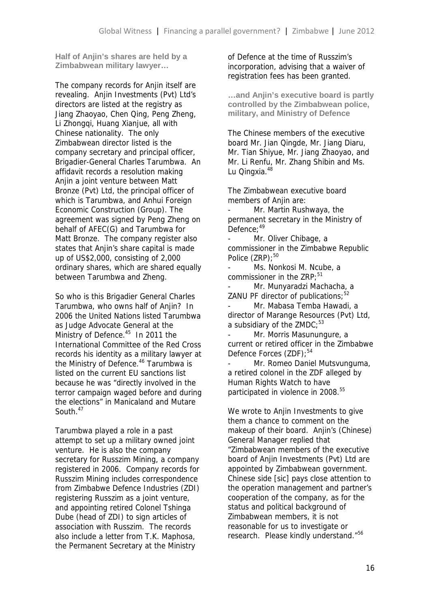**Half of Anjin's shares are held by a Zimbabwean military lawyer…**

The company records for Aniin itself are revealing. Anjin Investments (Pvt) Ltd's directors are listed at the registry as Jiang Zhaoyao, Chen Qing, Peng Zheng, Li Zhonggi, Huang Xianjue, all with Chinese nationality. The only Zimbabwean director listed is the company secretary and principal officer, Brigadier-General Charles Tarumbwa. An affidavit records a resolution making Anjin a joint venture between Matt Bronze (Pvt) Ltd, the principal officer of which is Tarumbwa, and Anhui Foreign Economic Construction (Group). The agreement was signed by Peng Zheng on behalf of AFEC(G) and Tarumbwa for Matt Bronze. The company register also states that Anjin's share capital is made up of US\$2,000, consisting of 2,000 ordinary shares, which are shared equally between Tarumbwa and Zheng.

So who is this Brigadier General Charles Tarumbwa, who owns half of Anjin? In 2006 the United Nations listed Tarumbwa as Judge Advocate General at the Ministry of Defence.<sup>45</sup> In 2011 the International Committee of the Red Cross records his identity as a military lawyer at the Ministry of Defence.<sup>46</sup> Tarumbwa is listed on the current EU sanctions list because he was "directly involved in the terror campaign waged before and during the elections" in Manicaland and Mutare South.<sup>47</sup>

Tarumbwa played a role in a past attempt to set up a military owned joint venture. He is also the company secretary for Russzim Mining, a company registered in 2006. Company records for Russzim Mining includes correspondence from Zimbabwe Defence Industries (ZDI) registering Russzim as a joint venture, and appointing retired Colonel Tshinga Dube (head of ZDI) to sign articles of association with Russzim. The records also include a letter from T.K. Maphosa, the Permanent Secretary at the Ministry

of Defence at the time of Russzim's incorporation, advising that a waiver of registration fees has been granted.

**…and Anjin's executive board is partly controlled by the Zimbabwean police, military, and Ministry of Defence**

The Chinese members of the executive board Mr. Jian Qingde, Mr. Jiang Diaru, Mr. Tian Shiyue, Mr. Jiang Zhaoyao, and Mr. Li Renfu, Mr. Zhang Shibin and Ms. Lu Qingxia.<sup>48</sup>

The Zimbabwean executive board members of Anjin are:

Mr. Martin Rushwaya, the permanent secretary in the Ministry of Defence: 49

Mr. Oliver Chibage, a commissioner in the Zimbabwe Republic Police (ZRP);<sup>50</sup>

Ms. Nonkosi M. Ncube, a commissioner in the  $ZRP:51$ 

Mr. Munyaradzi Machacha, a ZANU PF director of publications;  $52$ 

Mr. Mabasa Temba Hawadi, a director of Marange Resources (Pvt) Ltd, a subsidiary of the  $ZMDC$ ;<sup>53</sup>

- Mr. Morris Masunungure, a current or retired officer in the Zimbabwe Defence Forces (ZDF):<sup>54</sup>

Mr. Romeo Daniel Mutsvunguma, a retired colonel in the ZDF alleged by Human Rights Watch to have participated in violence in 2008.<sup>55</sup>

We wrote to Anjin Investments to give them a chance to comment on the makeup of their board. Anjin's (Chinese) General Manager replied that "Zimbabwean members of the executive board of Anjin Investments (Pvt) Ltd are appointed by Zimbabwean government. Chinese side [sic] pays close attention to the operation management and partner's cooperation of the company, as for the status and political background of Zimbabwean members, it is not reasonable for us to investigate or research. Please kindly understand."<sup>56</sup>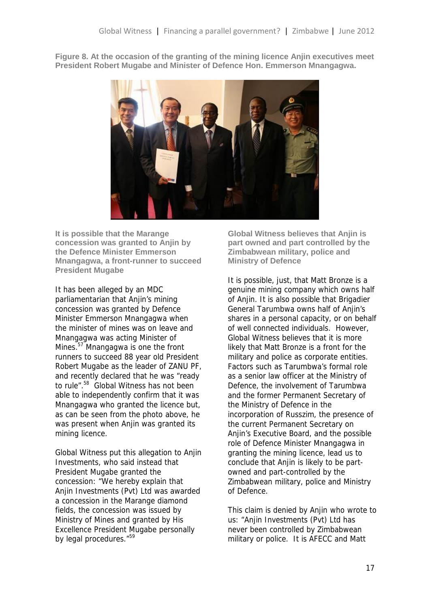**Figure 8. At the occasion of the granting of the mining licence Anjin executives meet President Robert Mugabe and Minister of Defence Hon. Emmerson Mnangagwa.**



**It is possible that the Marange concession was granted to Anjin by the Defence Minister Emmerson Mnangagwa, a front-runner to succeed President Mugabe**

It has been alleged by an MDC parliamentarian that Anjin's mining concession was granted by Defence Minister Emmerson Mnangagwa when the minister of mines was on leave and Mnangagwa was acting Minister of Mines.<sup>57</sup> Mnangagwa is one the front runners to succeed 88 year old President Robert Mugabe as the leader of ZANU PF, and recently declared that he was "ready to rule".<sup>58</sup> Global Witness has not been able to independently confirm that it was Mnangagwa who granted the licence but, as can be seen from the photo above, he was present when Anjin was granted its mining licence.

Global Witness put this allegation to Anjin Investments, who said instead that President Mugabe granted the concession: "We hereby explain that Anjin Investments (Pvt) Ltd was awarded a concession in the Marange diamond fields, the concession was issued by Ministry of Mines and granted by His Excellence President Mugabe personally by legal procedures."<sup>59</sup>

**Global Witness believes that Anjin is part owned and part controlled by the Zimbabwean military, police and Ministry of Defence**

It is possible, just, that Matt Bronze is a genuine mining company which owns half of Anjin. It is also possible that Brigadier General Tarumbwa owns half of Anjin's shares in a personal capacity, or on behalf of well connected individuals. However, Global Witness believes that it is more likely that Matt Bronze is a front for the military and police as corporate entities. Factors such as Tarumbwa's formal role as a senior law officer at the Ministry of Defence, the involvement of Tarumbwa and the former Permanent Secretary of the Ministry of Defence in the incorporation of Russzim, the presence of the current Permanent Secretary on Anjin's Executive Board, and the possible role of Defence Minister Mnangagwa in granting the mining licence, lead us to conclude that Anjin is likely to be part owned and part-controlled by the Zimbabwean military, police and Ministry of Defence.

This claim is denied by Aniin who wrote to us: "Aniin Investments (Pvt) Ltd has never been controlled by Zimbabwean military or police. It is AFECC and Matt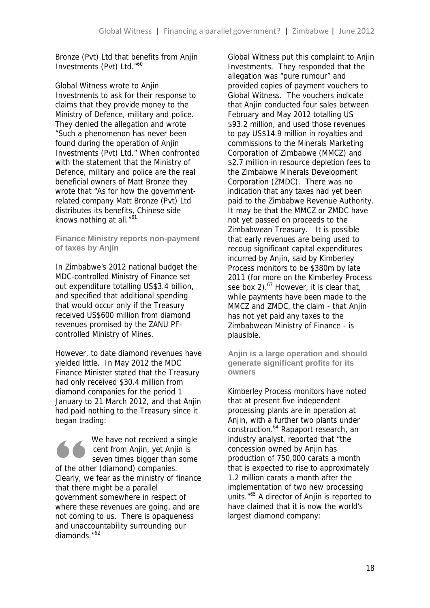Bronze (Pvt) Ltd that benefits from Anjin Investments (Pvt) Ltd."<sup>60</sup>

Global Witness wrote to Anjin Investments to ask for their response to claims that they provide money to the Ministry of Defence, military and police. They denied the allegation and wrote "Such a phenomenon has never been found during the operation of Anjin Investments (Pvt) Ltd." When confronted with the statement that the Ministry of Defence, military and police are the real beneficial owners of Matt Bronze they wrote that "As for how the governmentrelated company Matt Bronze (Pvt) Ltd distributes its benefits, Chinese side knows nothing at all.<sup>"61</sup>

**Finance Ministry reports non-payment of taxes by Anjin**

In Zimbabwe's 2012 national budget the MDC-controlled Ministry of Finance set out expenditure totalling US\$3.4 billion, and specified that additional spending that would occur only if the Treasury received US\$600 million from diamond revenues promised by the ZANU PF controlled Ministry of Mines.

However, to date diamond revenues have yielded little. In May 2012 the MDC Finance Minister stated that the Treasury had only received \$30.4 million from diamond companies for the period 1 January to 21 March 2012, and that Anjin had paid nothing to the Treasury since it began trading:

evert of the other (Clearly, we fe We have not received a single cent from Anjin, yet Anjin is seven times bigger than some of the other (diamond) companies. Clearly, we fear as the ministry of finance that there might be a parallel government somewhere in respect of where these revenues are going, and are not coming to us. There is opaqueness and unaccountability surrounding our diamonds."<sup>62</sup>

Global Witness put this complaint to Anjin Investments. They responded that the allegation was "pure rumour" and provided copies of payment vouchers to Global Witness. The vouchers indicate that Anjin conducted four sales between February and May 2012 totalling US \$93.2 million, and used those revenues to pay US\$14.9 million in royalties and commissions to the Minerals Marketing Corporation of Zimbabwe (MMCZ) and \$2.7 million in resource depletion fees to the Zimbabwe Minerals Development Corporation (ZMDC). There was no indication that any taxes had yet been paid to the Zimbabwe Revenue Authority. It may be that the MMCZ or ZMDC have not yet passed on proceeds to the Zimbabwean Treasury. It is possible that early revenues are being used to recoup significant capital expenditures incurred by Anjin, said by Kimberley Process monitors to be \$380m by late 2011 (for more on the Kimberley Process see box 2). $^{63}$  However, it is clear that, while payments have been made to the MMCZ and ZMDC, the claim - that Anjin has not yet paid any taxes to the Zimbabwean Ministry of Finance - is plausible.

**Anjin is a large operation and should generate significant profits for its owners**

Kimberley Process monitors have noted that at present five independent processing plants are in operation at Anjin, with a further two plants under construction.<sup>64</sup> Rapaport research, an industry analyst, reported that "the concession owned by Anjin has production of 750,000 carats a month that is expected to rise to approximately 1.2 million carats a month after the implementation of two new processing units."<sup>65</sup> A director of Anjin is reported to have claimed that it is now the world's largest diamond company: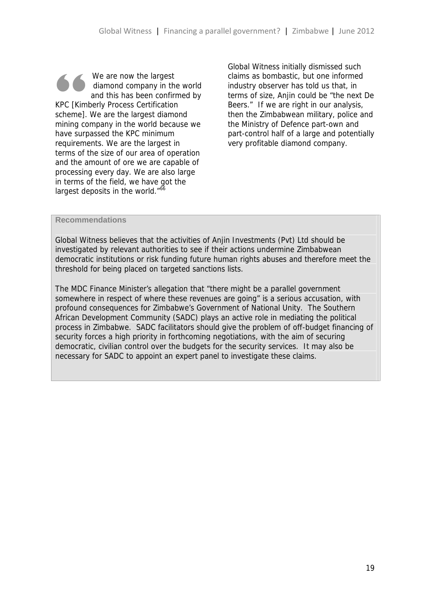We are now the largest<br>
diamond company in the world<br>
and this has been confirmed by<br>
KPC [Kimberly Process Certification<br>
schemel We are the largest diamond diamond company in the world and this has been confirmed by scheme]. We are the largest diamond mining company in the world because we have surpassed the KPC minimum requirements. We are the largest in terms of the size of our area of operation and the amount of ore we are capable of processing every day. We are also large in terms of the field, we have got the largest deposits in the world."<sup>66</sup>

Global Witness initially dismissed such claims as bombastic, but one informed industry observer has told us that, in terms of size, Anjin could be "the next De Beers." If we are right in our analysis, then the Zimbabwean military, police and the Ministry of Defence part-own and part-control half of a large and potentially very profitable diamond company.

#### **Recommendations**

Global Witness believes that the activities of Anjin Investments (Pvt) Ltd should be investigated by relevant authorities to see if their actions undermine Zimbabwean democratic institutions or risk funding future human rights abuses and therefore meet the threshold for being placed on targeted sanctions lists.

The MDC Finance Minister's allegation that "there might be a parallel government somewhere in respect of where these revenues are going" is a serious accusation, with profound consequences for Zimbabwe's Government of National Unity. The Southern African Development Community (SADC) plays an active role in mediating the political process in Zimbabwe. SADC facilitators should give the problem of off-budget financing of security forces a high priority in forthcoming negotiations, with the aim of securing democratic, civilian control over the budgets for the security services. It may also be necessary for SADC to appoint an expert panel to investigate these claims.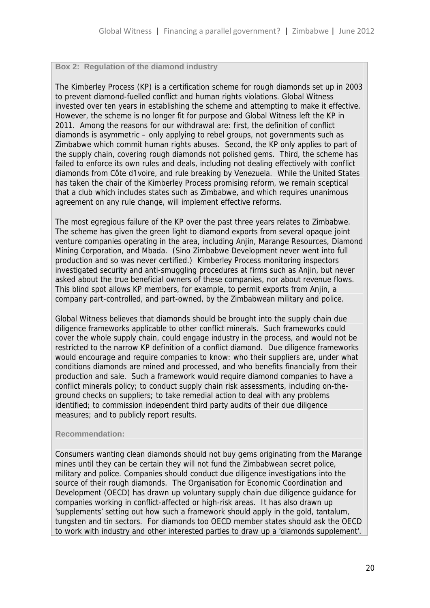#### **Box 2: Regulation of the diamond industry**

The Kimberley Process (KP) is a certification scheme for rough diamonds set up in 2003 to prevent diamond-fuelled conflict and human rights violations. Global Witness invested over ten years in establishing the scheme and attempting to make it effective. However, the scheme is no longer fit for purpose and Global Witness left the KP in 2011. Among the reasons for our withdrawal are: first, the definition of conflict diamonds is asymmetric – only applying to rebel groups, not governments such as Zimbabwe which commit human rights abuses. Second, the KP only applies to part of the supply chain, covering rough diamonds not polished gems. Third, the scheme has failed to enforce its own rules and deals, including not dealing effectively with conflict diamonds from Côte d'Ivoire, and rule breaking by Venezuela. While the United States has taken the chair of the Kimberley Process promising reform, we remain sceptical that a club which includes states such as Zimbabwe, and which requires unanimous agreement on any rule change, will implement effective reforms.

The most egregious failure of the KP over the past three years relates to Zimbabwe. The scheme has given the green light to diamond exports from several opaque joint venture companies operating in the area, including Anjin, Marange Resources, Diamond Mining Corporation, and Mbada. (Sino Zimbabwe Development never went into full production and so was never certified.) Kimberley Process monitoring inspectors investigated security and anti-smuggling procedures at firms such as Anjin, but never asked about the true beneficial owners of these companies, nor about revenue flows. This blind spot allows KP members, for example, to permit exports from Anjin, a company part-controlled, and part-owned, by the Zimbabwean military and police.

Global Witness believes that diamonds should be brought into the supply chain due diligence frameworks applicable to other conflict minerals. Such frameworks could cover the whole supply chain, could engage industry in the process, and would not be restricted to the narrow KP definition of a conflict diamond. Due diligence frameworks would encourage and require companies to know: who their suppliers are, under what conditions diamonds are mined and processed, and who benefits financially from their production and sale. Such a framework would require diamond companies to have a conflict minerals policy; to conduct supply chain risk assessments, including on-the ground checks on suppliers; to take remedial action to deal with any problems identified; to commission independent third party audits of their due diligence measures; and to publicly report results.

#### **Recommendation:**

Consumers wanting clean diamonds should not buy gems originating from the Marange mines until they can be certain they will not fund the Zimbabwean secret police, military and police. Companies should conduct due diligence investigations into the source of their rough diamonds. The Organisation for Economic Coordination and Development (OECD) has drawn up voluntary supply chain due diligence guidance for companies working in conflict-affected or high-risk areas. It has also drawn up 'supplements' setting out how such a framework should apply in the gold, tantalum, tungsten and tin sectors. For diamonds too OECD member states should ask the OECD to work with industry and other interested parties to draw up a 'diamonds supplement'.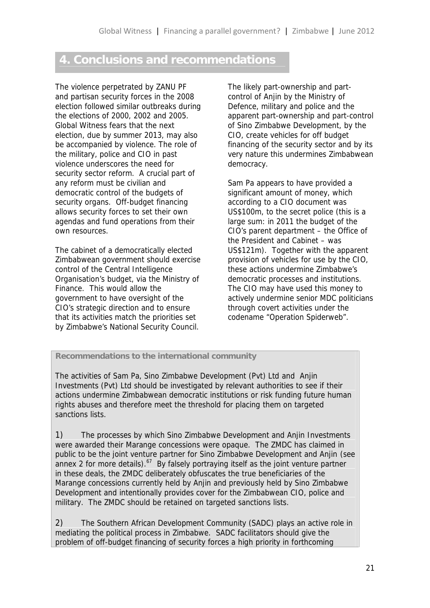### **4. Conclusions and recommendations**

The violence perpetrated by ZANU PF and partisan security forces in the 2008 election followed similar outbreaks during the elections of 2000, 2002 and 2005. Global Witness fears that the next election, due by summer 2013, may also be accompanied by violence. The role of the military, police and CIO in past violence underscores the need for security sector reform. A crucial part of any reform must be civilian and democratic control of the budgets of security organs. Off-budget financing allows security forces to set their own agendas and fund operations from their own resources.

The cabinet of a democratically elected Zimbabwean government should exercise control of the Central Intelligence Organisation's budget, via the Ministry of Finance. This would allow the government to have oversight of the CIO's strategic direction and to ensure that its activities match the priorities set by Zimbabwe's National Security Council.

The likely part-ownership and part control of Anjin by the Ministry of Defence, military and police and the apparent part-ownership and part-control of Sino Zimbabwe Development, by the CIO, create vehicles for off budget financing of the security sector and by its very nature this undermines Zimbabwean democracy.

Sam Pa appears to have provided a significant amount of money, which according to a CIO document was US\$100m, to the secret police (this is a large sum: in 2011 the budget of the CIO's parent department – the Office of the President and Cabinet – was US\$121m). Together with the apparent provision of vehicles for use by the CIO, these actions undermine Zimbabwe's democratic processes and institutions. The CIO may have used this money to actively undermine senior MDC politicians through covert activities under the codename "Operation Spiderweb".

#### **Recommendations to the international community**

The activities of Sam Pa, Sino Zimbabwe Development (Pvt) Ltd and Anjin Investments (Pvt) Ltd should be investigated by relevant authorities to see if their actions undermine Zimbabwean democratic institutions or risk funding future human rights abuses and therefore meet the threshold for placing them on targeted sanctions lists.

1) The processes by which Sino Zimbabwe Development and Anjin Investments were awarded their Marange concessions were opaque. The ZMDC has claimed in public to be the joint venture partner for Sino Zimbabwe Development and Anjin (see annex 2 for more details). $67$  By falsely portraying itself as the joint venture partner in these deals, the ZMDC deliberately obfuscates the true beneficiaries of the Marange concessions currently held by Anjin and previously held by Sino Zimbabwe Development and intentionally provides cover for the Zimbabwean CIO, police and military. The ZMDC should be retained on targeted sanctions lists.

2) The Southern African Development Community (SADC) plays an active role in mediating the political process in Zimbabwe. SADC facilitators should give the problem of off-budget financing of security forces a high priority in forthcoming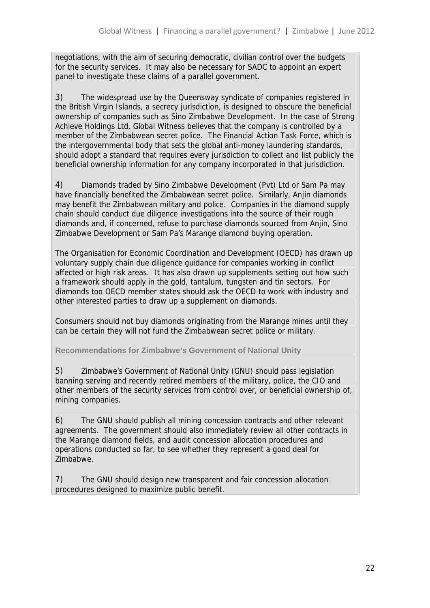negotiations, with the aim of securing democratic, civilian control over the budgets for the security services. It may also be necessary for SADC to appoint an expert panel to investigate these claims of a parallel government.

3) The widespread use by the Queensway syndicate of companies registered in the British Virgin Islands, a secrecy jurisdiction, is designed to obscure the beneficial ownership of companies such as Sino Zimbabwe Development. In the case of Strong Achieve Holdings Ltd, Global Witness believes that the company is controlled by a member of the Zimbabwean secret police. The Financial Action Task Force, which is the intergovernmental body that sets the global anti-money laundering standards, should adopt a standard that requires every jurisdiction to collect and list publicly the beneficial ownership information for any company incorporated in that jurisdiction.

4) Diamonds traded by Sino Zimbabwe Development (Pvt) Ltd or Sam Pa may have financially benefited the Zimbabwean secret police. Similarly, Anjin diamonds may benefit the Zimbabwean military and police. Companies in the diamond supply chain should conduct due diligence investigations into the source of their rough diamonds and, if concerned, refuse to purchase diamonds sourced from Anjin, Sino Zimbabwe Development or Sam Pa's Marange diamond buying operation.

The Organisation for Economic Coordination and Development (OECD) has drawn up voluntary supply chain due diligence guidance for companies working in conflict affected or high risk areas. It has also drawn up supplements setting out how such a framework should apply in the gold, tantalum, tungsten and tin sectors. For diamonds too OECD member states should ask the OECD to work with industry and other interested parties to draw up a supplement on diamonds.

Consumers should not buy diamonds originating from the Marange mines until they can be certain they will not fund the Zimbabwean secret police or military.

**Recommendations for Zimbabwe's Government of National Unity**

5) Zimbabwe's Government of National Unity (GNU) should pass legislation banning serving and recently retired members of the military, police, the CIO and other members of the security services from control over, or beneficial ownership of, mining companies.

6) The GNU should publish all mining concession contracts and other relevant agreements. The government should also immediately review all other contracts in the Marange diamond fields, and audit concession allocation procedures and operations conducted so far, to see whether they represent a good deal for Zimbabwe.

7) The GNU should design new transparent and fair concession allocation procedures designed to maximize public benefit.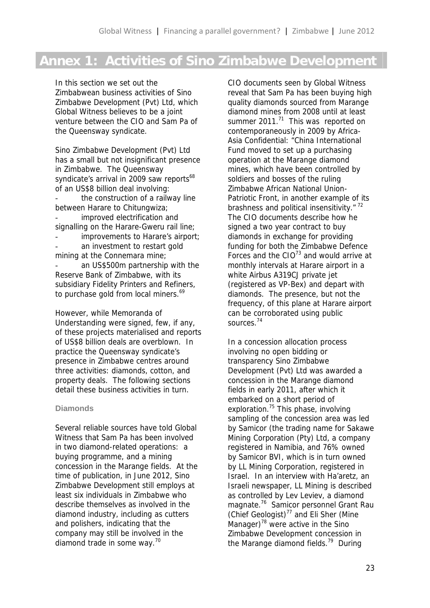# **Annex 1: Activities of Sino Zimbabwe Development**

In this section we set out the Zimbabwean business activities of Sino Zimbabwe Development (Pvt) Ltd, which Global Witness believes to be a joint venture between the CIO and Sam Pa of the Queensway syndicate.

Sino Zimbabwe Development (Pvt) Ltd has a small but not insignificant presence in Zimbabwe. The Queensway syndicate's arrival in 2009 saw reports<sup>68</sup> of an US\$8 billion deal involving: the construction of a railway line between Harare to Chitungwiza; improved electrification and signalling on the Harare-Gweru rail line; improvements to Harare's airport; an investment to restart gold mining at the Connemara mine; an US\$500m partnership with the Reserve Bank of Zimbabwe, with its subsidiary Fidelity Printers and Refiners, to purchase gold from local miners.<sup>69</sup>

However, while Memoranda of Understanding were signed, few, if any, of these projects materialised and reports of US\$8 billion deals are overblown. In practice the Queensway syndicate's presence in Zimbabwe centres around three activities: diamonds, cotton, and property deals. The following sections detail these business activities in turn.

#### **Diamonds**

Several reliable sources have told Global Witness that Sam Pa has been involved in two diamond-related operations: a buying programme, and a mining concession in the Marange fields. At the time of publication, in June 2012, Sino Zimbabwe Development still employs at least six individuals in Zimbabwe who describe themselves as involved in the diamond industry, including as cutters and polishers, indicating that the company may still be involved in the diamond trade in some way.<sup>70</sup>

CIO documents seen by Global Witness reveal that Sam Pa has been buying high quality diamonds sourced from Marange diamond mines from 2008 until at least summer  $2011.^{71}$  This was reported on contemporaneously in 2009 by Africa- Asia Confidential: "China International Fund moved to set up a purchasing operation at the Marange diamond mines, which have been controlled by soldiers and bosses of the ruling Zimbabwe African National Union- Patriotic Front, in another example of its brashness and political insensitivity."<sup>72</sup> The CIO documents describe how he signed a two year contract to buy diamonds in exchange for providing funding for both the Zimbabwe Defence Forces and the  $CIO^{73}$  and would arrive at monthly intervals at Harare airport in a white Airbus A319CJ private jet (registered as VP-Bex) and depart with diamonds. The presence, but not the frequency, of this plane at Harare airport can be corroborated using public sources.<sup>74</sup>

In a concession allocation process involving no open bidding or transparency Sino Zimbabwe Development (Pvt) Ltd was awarded a concession in the Marange diamond fields in early 2011, after which it embarked on a short period of exploration.<sup>75</sup> This phase, involving sampling of the concession area was led by Samicor (the trading name for Sakawe Mining Corporation (Pty) Ltd, a company registered in Namibia, and 76% owned by Samicor BVI, which is in turn owned by LL Mining Corporation, registered in Israel. In an interview with Ha'aretz, an Israeli newspaper, LL Mining is described as controlled by Lev Leviev, a diamond magnate.<sup>76</sup> Samicor personnel Grant Rau (Chief Geologist) $77$  and Eli Sher (Mine Manager) $^{78}$  were active in the Sino Zimbabwe Development concession in the Marange diamond fields.<sup>79</sup> During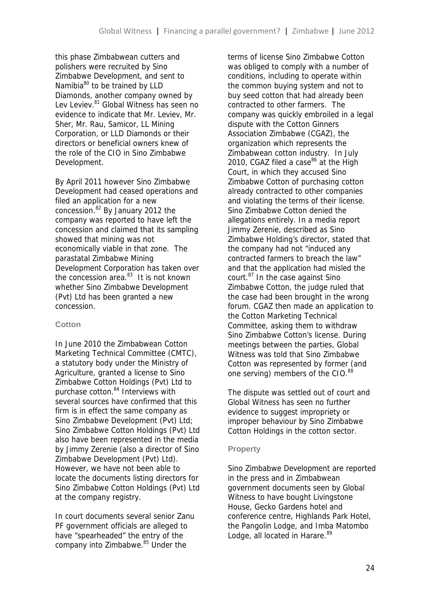this phase Zimbabwean cutters and polishers were recruited by Sino Zimbabwe Development, and sent to Namibia<sup>80</sup> to be trained by LLD Diamonds, another company owned by Lev Leviev.<sup>81</sup> Global Witness has seen no evidence to indicate that Mr. Leviev, Mr. Sher, Mr. Rau, Samicor, LL Mining Corporation, or LLD Diamonds or their directors or beneficial owners knew of the role of the CIO in Sino Zimbabwe Development.

By April 2011 however Sino Zimbabwe Development had ceased operations and filed an application for a new concession.<sup>82</sup> By January 2012 the company was reported to have left the concession and claimed that its sampling showed that mining was not economically viable in that zone. The parastatal Zimbabwe Mining Development Corporation has taken over the concession area. $83$  It is not known whether Sino Zimbabwe Development (Pvt) Ltd has been granted a new concession.

#### **Cotton**

In June 2010 the Zimbabwean Cotton Marketing Technical Committee (CMTC), a statutory body under the Ministry of Agriculture, granted a license to Sino Zimbabwe Cotton Holdings (Pvt) Ltd to purchase cotton.<sup>84</sup> Interviews with several sources have confirmed that this firm is in effect the same company as Sino Zimbabwe Development (Pvt) Ltd; Sino Zimbabwe Cotton Holdings (Pvt) Ltd also have been represented in the media by Jimmy Zerenie (also a director of Sino Zimbabwe Development (Pvt) Ltd). However, we have not been able to locate the documents listing directors for Sino Zimbabwe Cotton Holdings (Pvt) Ltd at the company registry.

In court documents several senior Zanu PF government officials are alleged to have "spearheaded" the entry of the company into Zimbabwe.<sup>85</sup> Under the

terms of license Sino Zimbabwe Cotton was obliged to comply with a number of conditions, including to operate within the common buying system and not to buy seed cotton that had already been contracted to other farmers. The company was quickly embroiled in a legal dispute with the Cotton Ginners Association Zimbabwe (CGAZ), the organization which represents the Zimbabwean cotton industry. In July 2010, CGAZ filed a case $^{86}$  at the High Court, in which they accused Sino Zimbabwe Cotton of purchasing cotton already contracted to other companies and violating the terms of their license. Sino Zimbabwe Cotton denied the allegations entirely. In a media report Jimmy Zerenie, described as Sino Zimbabwe Holding's director, stated that the company had not "induced any contracted farmers to breach the law" and that the application had misled the court.<sup>87</sup> In the case against Sino Zimbabwe Cotton, the judge ruled that the case had been brought in the wrong forum. CGAZ then made an application to the Cotton Marketing Technical Committee, asking them to withdraw Sino Zimbabwe Cotton's license. During meetings between the parties, Global Witness was told that Sino Zimbabwe Cotton was represented by former (and one serving) members of the CIO.<sup>88</sup>

The dispute was settled out of court and Global Witness has seen no further evidence to suggest impropriety or improper behaviour by Sino Zimbabwe Cotton Holdings in the cotton sector.

#### **Property**

Sino Zimbabwe Development are reported in the press and in Zimbabwean government documents seen by Global Witness to have bought Livingstone House, Gecko Gardens hotel and conference centre, Highlands Park Hotel, the Pangolin Lodge, and Imba Matombo Lodge, all located in Harare.<sup>89</sup>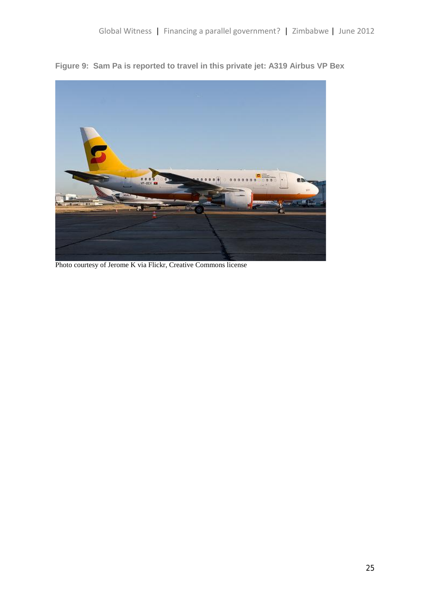**Figure 9: Sam Pa is reported to travel in this private jet: A319 Airbus VP Bex**



Photo courtesy of Jerome K via Flickr, Creative Commons license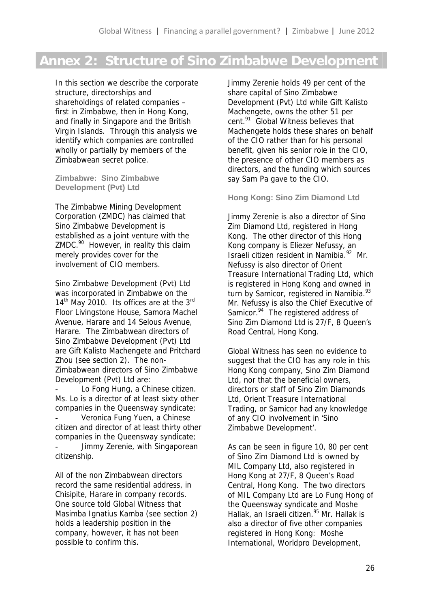## **Annex 2: Structure of Sino Zimbabwe Development**

In this section we describe the corporate structure, directorships and shareholdings of related companies – first in Zimbabwe, then in Hong Kong, and finally in Singapore and the British Virgin Islands. Through this analysis we identify which companies are controlled wholly or partially by members of the Zimbabwean secret police.

**Zimbabwe: Sino Zimbabwe Development (Pvt) Ltd**

The Zimbabwe Mining Development Corporation (ZMDC) has claimed that Sino Zimbabwe Development is established as a joint venture with the ZMDC.<sup>90</sup> However, in reality this claim merely provides cover for the involvement of CIO members.

Sino Zimbabwe Development (Pvt) Ltd was incorporated in Zimbabwe on the 14<sup>th</sup> May 2010. Its offices are at the 3<sup>rd</sup> Floor Livingstone House, Samora Machel Avenue, Harare and 14 Selous Avenue, Harare. The Zimbabwean directors of Sino Zimbabwe Development (Pvt) Ltd are Gift Kalisto Machengete and Pritchard Zhou (see section 2). The non- Zimbabwean directors of Sino Zimbabwe Development (Pvt) Ltd are:

Lo Fong Hung, a Chinese citizen. Ms. Lo is a director of at least sixty other companies in the Queensway syndicate; Veronica Fung Yuen, a Chinese citizen and director of at least thirty other companies in the Queensway syndicate; Jimmy Zerenie, with Singaporean citizenship.

All of the non Zimbabwean directors record the same residential address, in Chisipite, Harare in company records. One source told Global Witness that Masimba Ignatius Kamba (see section 2) holds a leadership position in the company, however, it has not been possible to confirm this.

Jimmy Zerenie holds 49 per cent of the share capital of Sino Zimbabwe Development (Pvt) Ltd while Gift Kalisto Machengete, owns the other 51 per cent.<sup>91</sup> Global Witness believes that Machengete holds these shares on behalf of the CIO rather than for his personal benefit, given his senior role in the CIO, the presence of other CIO members as directors, and the funding which sources say Sam Pa gave to the CIO.

**Hong Kong: Sino Zim Diamond Ltd**

Jimmy Zerenie is also a director of Sino Zim Diamond Ltd, registered in Hong Kong. The other director of this Hong Kong company is Eliezer Nefussy, an Israeli citizen resident in Namibia.<sup>92</sup> Mr. Nefussy is also director of Orient Treasure International Trading Ltd, which is registered in Hong Kong and owned in turn by Samicor, registered in Namibia.<sup>93</sup> Mr. Nefussy is also the Chief Executive of Samicor.<sup>94</sup> The registered address of Sino Zim Diamond Ltd is 27/F, 8 Queen's Road Central, Hong Kong.

Global Witness has seen no evidence to suggest that the CIO has any role in this Hong Kong company, Sino Zim Diamond Ltd, nor that the beneficial owners, directors or staff of Sino Zim Diamonds Ltd, Orient Treasure International Trading, or Samicor had any knowledge of any CIO involvement in 'Sino Zimbabwe Development'.

As can be seen in figure 10, 80 per cent of Sino Zim Diamond Ltd is owned by MIL Company Ltd, also registered in Hong Kong at 27/F, 8 Queen's Road Central, Hong Kong. The two directors of MIL Company Ltd are Lo Fung Hong of the Queensway syndicate and Moshe Hallak, an Israeli citizen.<sup>95</sup> Mr. Hallak is also a director of five other companies registered in Hong Kong: Moshe International, Worldpro Development,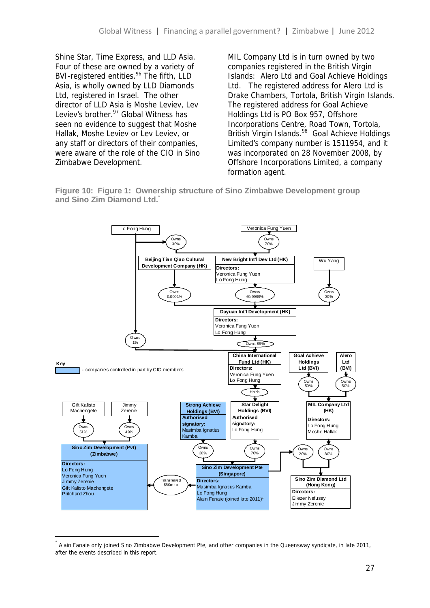Shine Star, Time Express, and LLD Asia. Four of these are owned by a variety of BVI-registered entities.<sup>96</sup> The fifth, LLD Asia, is wholly owned by LLD Diamonds Ltd, registered in Israel. The other director of LLD Asia is Moshe Leviev, Lev Leviev's brother.<sup>97</sup> Global Witness has seen no evidence to suggest that Moshe Hallak, Moshe Leviev or Lev Leviev, or any staff or directors of their companies, were aware of the role of the CIO in Sino Zimbabwe Development.

MIL Company Ltd is in turn owned by two companies registered in the British Virgin Islands: Alero Ltd and Goal Achieve Holdings Ltd. The registered address for Alero Ltd is Drake Chambers, Tortola, British Virgin Islands. The registered address for Goal Achieve Holdings Ltd is PO Box 957, Offshore Incorporations Centre, Road Town, Tortola, British Virgin Islands.<sup>98</sup> Goal Achieve Holdings Limited's company number is 1511954, and it was incorporated on 28 November 2008, by Offshore Incorporations Limited, a company formation agent.





<sup>\*</sup> Alain Fanaie only joined Sino Zimbabwe Development Pte, and other companies in the Queensway syndicate, in late 2011, after the events described in this report.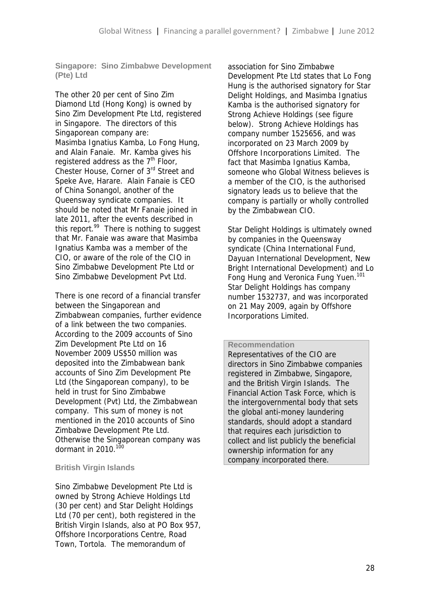**Singapore: Sino Zimbabwe Development (Pte) Ltd**

The other 20 per cent of Sino Zim Diamond Ltd (Hong Kong) is owned by Sino Zim Development Pte Ltd, registered in Singapore. The directors of this Singaporean company are: Masimba Ignatius Kamba, Lo Fong Hung, and Alain Fanaie. Mr. Kamba gives his registered address as the  $7<sup>th</sup>$  Floor, Chester House, Corner of 3rd Street and Speke Ave, Harare. Alain Fanaie is CEO of China Sonangol, another of the Queensway syndicate companies. It should be noted that Mr Fanaie joined in late 2011, after the events described in this report. $99$  There is nothing to suggest that Mr. Fanaie was aware that Masimba Ignatius Kamba was a member of the CIO, or aware of the role of the CIO in Sino Zimbabwe Development Pte Ltd or Sino Zimbabwe Development Pvt Ltd.

There is one record of a financial transfer between the Singaporean and Zimbabwean companies, further evidence of a link between the two companies. According to the 2009 accounts of Sino Zim Development Pte Ltd on 16 November 2009 US\$50 million was deposited into the Zimbabwean bank accounts of Sino Zim Development Pte Ltd (the Singaporean company), to be held in trust for Sino Zimbabwe Development (Pvt) Ltd, the Zimbabwean company. This sum of money is not mentioned in the 2010 accounts of Sino Zimbabwe Development Pte Ltd. Otherwise the Singaporean company was dormant in  $2010$ .<sup>100</sup>

#### **British Virgin Islands**

Sino Zimbabwe Development Pte Ltd is owned by Strong Achieve Holdings Ltd (30 per cent) and Star Delight Holdings Ltd (70 per cent), both registered in the British Virgin Islands, also at PO Box 957, Offshore Incorporations Centre, Road Town, Tortola. The memorandum of

association for Sino Zimbabwe Development Pte Ltd states that Lo Fong Hung is the authorised signatory for Star Delight Holdings, and Masimba Ignatius Kamba is the authorised signatory for Strong Achieve Holdings (see figure below). Strong Achieve Holdings has company number 1525656, and was incorporated on 23 March 2009 by Offshore Incorporations Limited. The fact that Masimba Ignatius Kamba, someone who Global Witness believes is a member of the CIO, is the authorised signatory leads us to believe that the company is partially or wholly controlled by the Zimbabwean CIO.

Star Delight Holdings is ultimately owned by companies in the Queensway syndicate (China International Fund, Dayuan International Development, New Bright International Development) and Lo Fong Hung and Veronica Fung Yuen.<sup>101</sup> Star Delight Holdings has company number 1532737, and was incorporated on 21 May 2009, again by Offshore Incorporations Limited.

#### **Recommendation**

Representatives of the CIO are directors in Sino Zimbabwe companies registered in Zimbabwe, Singapore, and the British Virgin Islands. The Financial Action Task Force, which is the intergovernmental body that sets the global anti-money laundering standards, should adopt a standard that requires each jurisdiction to collect and list publicly the beneficial ownership information for any company incorporated there.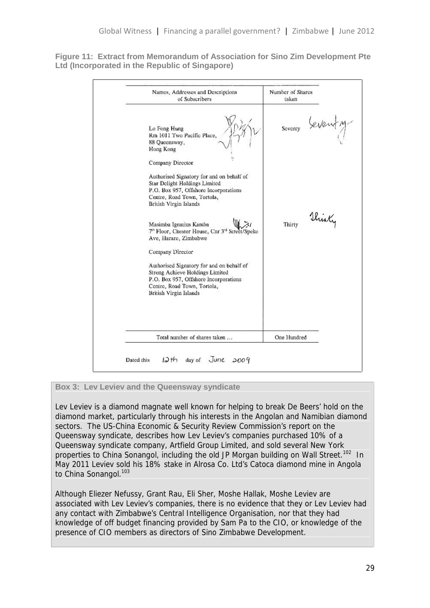**Figure 11: Extract from Memorandum of Association for Sino Zim Development Pte Ltd (Incorporated in the Republic of Singapore)**

| Names, Addresses and Descriptions<br>of Subscribers                                                                                                                                                | Number of Shares<br>taken |  |
|----------------------------------------------------------------------------------------------------------------------------------------------------------------------------------------------------|---------------------------|--|
| Lo Fong Hung<br>Rm 1011 Two Pacific Place,<br>88 Queensway,<br>Hong Kong<br>Company Director                                                                                                       | seventy beventy           |  |
| Authorised Signatory for and on behalf of<br>Star Delight Holdings Limited<br>P.O. Box 957, Offshore Incorporations<br>Centre, Road Town, Tortola,<br>British Virgin Islands                       |                           |  |
| Masimba Ignatius Kamba<br>7 <sup>th</sup> Floor, Chester House, Cnr 3 <sup>rd</sup> Street/Speke<br>Ave, Harare, Zimbabwe                                                                          | Thirty<br>Thirty          |  |
| Company Director<br>Authorised Signatory for and on behalf of<br>Strong Achieve Holdings Limited<br>P.O. Box 957, Offshore Incorporations<br>Centre, Road Town, Tortola,<br>British Virgin Islands |                           |  |
| Total number of shares taken                                                                                                                                                                       | One Hundred               |  |

**Box 3: Lev Leviev and the Queensway syndicate**

Lev Leviev is a diamond magnate well known for helping to break De Beers' hold on the diamond market, particularly through his interests in the Angolan and Namibian diamond sectors. The US-China Economic & Security Review Commission's report on the Queensway syndicate, describes how Lev Leviev's companies purchased 10% of a Queensway syndicate company, Artfield Group Limited, and sold several New York properties to China Sonangol, including the old JP Morgan building on Wall Street.<sup>102</sup> In May 2011 Leviev sold his 18% stake in Alrosa Co. Ltd's Catoca diamond mine in Angola to China Sonangol.<sup>103</sup>

Although Eliezer Nefussy, Grant Rau, Eli Sher, Moshe Hallak, Moshe Leviev are associated with Lev Leviev's companies, there is no evidence that they or Lev Leviev had any contact with Zimbabwe's Central Intelligence Organisation, nor that they had knowledge of off budget financing provided by Sam Pa to the CIO, or knowledge of the presence of CIO members as directors of Sino Zimbabwe Development.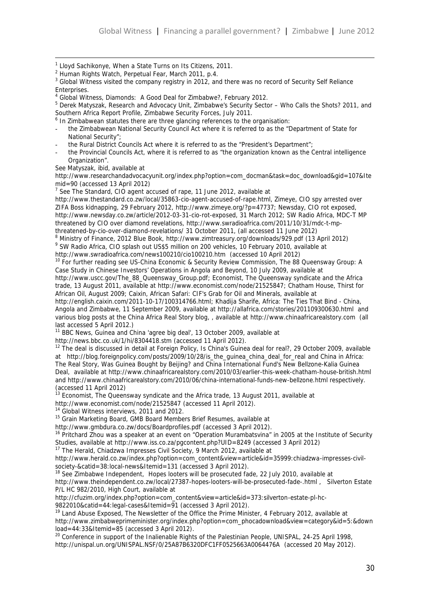- <sup>1</sup> Lloyd Sachikonye, When a State Turns on Its Citizens, 2011.
- <sup>2</sup> Human Rights Watch, Perpetual Fear, March 2011, p.4.

4 Global Witness, Diamonds: A Good Deal for Zimbabwe?, February 2012.

- <sup>6</sup> In Zimbabwean statutes there are three glancing references to the organisation:
- the Zimbabwean National Security Council Act where it is referred to as the "Department of State for National Security";
- the Rural District Councils Act where it is referred to as the "President's Department";
- the Provincial Councils Act, where it is referred to as "the organization known as the Central intelligence Organization".

See Matyszak, *ibid*, available at

http://www.researchandadvocacyunit.org/index.php?option=com\_docman&task=doc\_download&gid=107&Ite mid=90 (accessed 13 April 2012)

<sup>7</sup> See The Standard, CIO agent accused of rape, 11 June 2012, available at

http://www.thestandard.co.zw/local/35863-cio-agent-accused-of-rape.html, Zimeye, CIO spy arrested over ZIFA Boss kidnapping, 29 February 2012, http://www.zimeye.org/?p=47737; Newsday, CIO rot exposed, http://www.newsday.co.zw/article/2012-03-31-cio-rot-exposed, 31 March 2012; SW Radio Africa, MDC-T MP threatened by CIO over diamond revelations, http://www.swradioafrica.com/2011/10/31/mdc-t-mpthreatened-by-cio-over-diamond-revelations/ 31 October 2011, (all accessed 11 June 2012)

<sup>8</sup> Ministry of Finance, 2012 Blue Book, http://www.zimtreasury.org/downloads/929.pdf (13 April 2012)

9 SW Radio Africa, CIO splash out US\$5 million on 200 vehicles, 10 February 2010, available at

http://www.swradioafrica.com/news100210/cio100210.htm (accessed 10 April 2012)

<sup>10</sup> For further reading see US-China Economic & Security Review Commission, The 88 Queensway Group: A Case Study in Chinese Investors' Operations in Angola and Beyond, 10 July 2009, available at

http://www.uscc.gov/The\_88\_Queensway\_Group.pdf; Economist, The Queensway syndicate and the Africa trade, 13 August 2011, available at http://www.economist.com/node/21525847; Chatham House, Thirst for African Oil, August 2009; Caixin, African Safari: CIF's Grab for Oil and Minerals, available at

http://english.caixin.com/2011-10-17/100314766.html; Khadija Sharife, Africa: The Ties That Bind - China, Angola and Zimbabwe, 11 September 2009, available at http://allafrica.com/stories/201109300630.html and various blog posts at the China Africa Real Story blog, , available at http://www.chinaafricarealstory.com (all last accessed 5 April 2012.)

<sup>11</sup> BBC News, Guinea and China 'agree big deal', 13 October 2009, available at

http://news.bbc.co.uk/1/hi/8304418.stm (accessed 11 April 2012).

 $12$  The deal is discussed in detail at Foreign Policy, Is China's Guinea deal for real?, 29 October 2009, available at http://blog.foreignpolicy.com/posts/2009/10/28/is\_the\_guinea\_china\_deal\_for\_real and China in Africa: The Real Story, Was Guinea Bought by Beijing? *and* China International Fund's New Bellzone-Kalia Guinea Deal, available at http://www.chinaafricarealstory.com/2010/03/earlier-this-week-chatham-house-british.html and http://www.chinaafricarealstory.com/2010/06/china-international-funds-new-bellzone.html respectively. (accessed 11 April 2012)

<sup>13</sup> Economist, The Queensway syndicate and the Africa trade, 13 August 2011, available at

http://www.economist.com/node/21525847 (accessed 11 April 2012).

<sup>14</sup> Global Witness interviews, 2011 and 2012.

<sup>15</sup> Grain Marketing Board, GMB Board Members Brief Resumes, available at

http://www.gmbdura.co.zw/docs/Boardprofiles.pdf (accessed 3 April 2012).

<sup>16</sup> Pritchard Zhou was a speaker at an event on "Operation Murambatsvina" in 2005 at the Institute of Security Studies, available at http://www.iss.co.za/pgcontent.php?UID=8249 (accessed 3 April 2012)

<sup>17</sup> The Herald, Chiadzwa Impresses Civil Society, 9 March 2012, available at

http://www.herald.co.zw/index.php?option=com\_content&view=article&id=35999:chiadzwa-impresses-civil society-&catid=38:local-news&Itemid=131 (accessed 3 April 2012).

<sup>18</sup> See Zimbabwe Independent, Hopes looters will be prosecuted fade, 22 July 2010, available at

http://www.theindependent.co.zw/local/27387-hopes-looters-will-be-prosecuted-fade-.html , Silverton Estate P/L HC 982/2010, High Court, available at

http://cfuzim.org/index.php?option=com\_content&view=article&id=373:silverton-estate-pl-hc-

9822010&catid=44:legal-cases&Itemid=91 (accessed 3 April 2012).

<sup>19</sup> Land Abuse Exposed. The Newsletter of the Office the Prime Minister, 4 February 2012, available at http://www.zimbabweprimeminister.org/index.php?option=com\_phocadownload&view=category&id=5:&down load=44:33&Itemid=85 (accessed 3 April 2012).

<sup>20</sup> Conference in support of the Inalienable Rights of the Palestinian People, UNISPAL, 24-25 April 1998, http://unispal.un.org/UNISPAL.NSF/0/25A87B6320DFC1FF0525663A0064476A (accessed 20 May 2012).

<sup>&</sup>lt;sup>3</sup> Global Witness visited the company registry in 2012, and there was no record of Security Self Reliance Enterprises.

<sup>5</sup> Derek Matyszak, Research and Advocacy Unit, Zimbabwe's Security Sector – Who Calls the Shots? 2011*,* and Southern Africa Report Profile, Zimbabwe Security Forces, July 2011.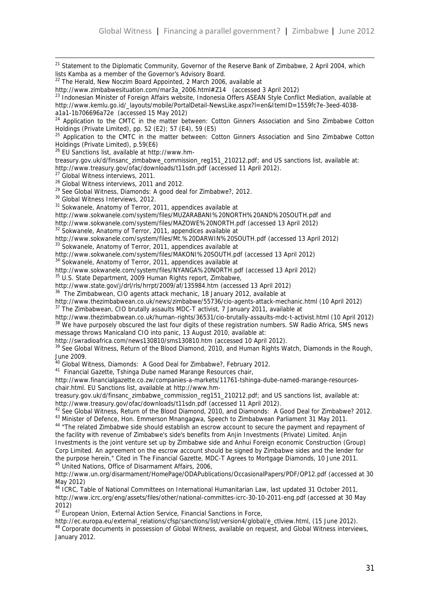<sup>21</sup> Statement to the Diplomatic Community, Governor of the Reserve Bank of Zimbabwe, 2 April 2004, which lists Kamba as a member of the Governor's Advisory Board.  $22$  The Herald, New Noczim Board Appointed, 2 March 2006, available at http://www.zimbabwesituation.com/mar3a\_2006.html#Z14 (accessed 3 April 2012) <sup>23</sup> Indonesian Minister of Foreign Affairs website, Indonesia Offers ASEAN Style Conflict Mediation, available at http://www.kemlu.go.id/\_layouts/mobile/PortalDetail-NewsLike.aspx?l=en&ItemID=1559fc7e-3eed-4038 a1a1-1b706696a72e (accessed 15 May 2012) <sup>24</sup> Application to the CMTC in the matter between: Cotton Ginners Association and Sino Zimbabwe Cotton Holdings (Private Limited), pp. 52 (E2); 57 (E4), 59 (E5) <sup>25</sup> Application to the CMTC in the matter between: Cotton Ginners Association and Sino Zimbabwe Cotton Holdings (Private Limited), p.59(E6) <sup>26</sup> EU Sanctions list, available at http://www.hmtreasury.gov.uk/d/finsanc\_zimbabwe\_commission\_reg151\_210212.pdf; and US sanctions list, available at: http://www.treasury.gov/ofac/downloads/t11sdn.pdf (accessed 11 April 2012). <sup>27</sup> Global Witness interviews, 2011. <sup>28</sup> Global Witness interviews, 2011 and 2012. <sup>29</sup> See Global Witness, Diamonds: A good deal for Zimbabwe?, 2012. <sup>30</sup> Global Witness Interviews, 2012. <sup>31</sup> Sokwanele, Anatomy of Terror, 2011, appendices available at http://www.sokwanele.com/system/files/MUZARABANI%20NORTH%20AND%20SOUTH.pdf and http://www.sokwanele.com/system/files/MAZOWE%20NORTH.pdf (accessed 13 April 2012) <sup>32</sup> Sokwanele, Anatomy of Terror, 2011, appendices available at http://www.sokwanele.com/system/files/Mt.%20DARWIN%20SOUTH.pdf (accessed 13 April 2012) <sup>33</sup> Sokwanele, Anatomy of Terror, 2011, appendices available at http://www.sokwanele.com/system/files/MAKONI%20SOUTH.pdf (accessed 13 April 2012) <sup>34</sup> Sokwanele, Anatomy of Terror, 2011, appendices available at http://www.sokwanele.com/system/files/NYANGA%20NORTH.pdf (accessed 13 April 2012) <sup>35</sup> U.S. State Department, 2009 Human Rights report, Zimbabwe, http://www.state.gov/j/drl/rls/hrrpt/2009/af/135984.htm (accessed 13 April 2012) <sup>36</sup> The Zimbabwean, CIO agents attack mechanic, 18 January 2012, available at http://www.thezimbabwean.co.uk/news/zimbabwe/55736/cio-agents-attack-mechanic.html (10 April 2012)  $37$  The Zimbabwean, CIO brutally assaults MDC-T activist, 7 January 2011, available at http://www.thezimbabwean.co.uk/human-rights/36531/cio-brutally-assaults-mdc-t-activist.html (10 April 2012)  $8$  We have purposely obscured the last four digits of these registration numbers. SW Radio Africa, SMS news message throws Manicaland CIO into panic, 13 August 2010, available at: http://swradioafrica.com/news130810/sms130810.htm (accessed 10 April 2012). <sup>39</sup> See Global Witness, Return of the Blood Diamond, 2010, and Human Rights Watch, Diamonds in the Rough, June 2009. <sup>40</sup> Global Witness, Diamonds: A Good Deal for Zimbabwe?, February 2012. <sup>41</sup> Financial Gazette, Tshinga Dube named Marange Resources chair, http://www.financialgazette.co.zw/companies-a-markets/11761-tshinga-dube-named-marange-resources chair.html. EU Sanctions list, available at http://www.hmtreasury.gov.uk/d/finsanc\_zimbabwe\_commission\_reg151\_210212.pdf; and US sanctions list, available at: http://www.treasury.gov/ofac/downloads/t11sdn.pdf (accessed 11 April 2012). <sup>42</sup> See Global Witness, Return of the Blood Diamond, 2010, and Diamonds: A Good Deal for Zimbabwe? 2012. <sup>43</sup> Minister of Defence, Hon. Emmerson Mnangagwa, Speech to Zimbabwean Parliament 31 May 2011. <sup>44</sup> "The related Zimbabwe side should establish an escrow account to secure the payment and repayment of the facility with revenue of Zimbabwe's side's benefits from Anjin Investments (Private) Limited. Anjin Investments is the joint venture set up by Zimbabwe side and Anhui Foreign economic Construction (Group) Corp Limited. An agreement on the escrow account should be signed by Zimbabwe sides and the lender for the purpose herein," Cited in The Financial Gazette, MDC-T Agrees to Mortgage Diamonds, 10 June 2011. <sup>45</sup> United Nations, Office of Disarmament Affairs, 2006, http://www.un.org/disarmament/HomePage/ODAPublications/OccasionalPapers/PDF/OP12.pdf (accessed at 30 May 2012) <sup>46</sup> ICRC, Table of National Committees on International Humanitarian Law, last updated 31 October 2011,

http://www.icrc.org/eng/assets/files/other/national-committes-icrc-30-10-2011-eng.pdf (accessed at 30 May 2012)

<sup>47</sup> European Union, External Action Service, Financial Sanctions in Force,

http://ec.europa.eu/external\_relations/cfsp/sanctions/list/version4/global/e\_ctlview.html, (15 June 2012). <sup>48</sup> Corporate documents in possession of Global Witness, available on request, and Global Witness interviews, January 2012.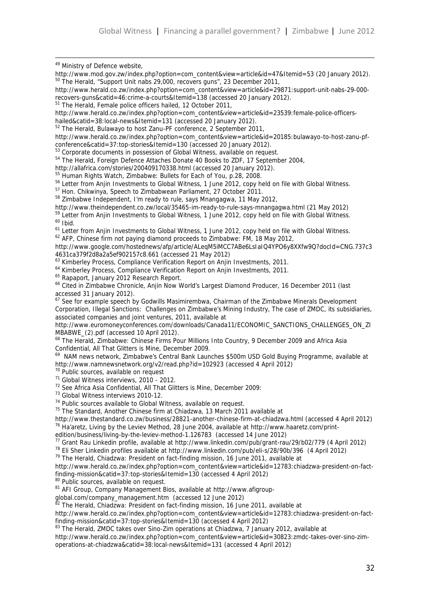49 Ministry of Defence website, http://www.mod.gov.zw/index.php?option=com\_content&view=article&id=47&Itemid=53 (20 January 2012). <sup>50</sup> The Herald, "Support Unit nabs 29,000, recovers guns", 23 December 2011, http://www.herald.co.zw/index.php?option=com\_content&view=article&id=29871:support-unit-nabs-29-000 recovers-guns&catid=46:crime-a-courts&Itemid=138 (accessed 20 January 2012). <sup>51</sup> The Herald, Female police officers hailed, 12 October 2011, http://www.herald.co.zw/index.php?option=com\_content&view=article&id=23539:female-police-officers hailed&catid=38:local-news&Itemid=131 (accessed 20 January 2012). <sup>52</sup> The Herald, Bulawayo to host Zanu-PF conference, 2 September 2011, http://www.herald.co.zw/index.php?option=com\_content&view=article&id=20185:bulawayo-to-host-zanu-pf conference&catid=37:top-stories&Itemid=130 (accessed 20 January 2012). <sup>53</sup> Corporate documents in possession of Global Witness, available on request. <sup>54</sup> The Herald, Foreign Defence Attaches Donate 40 Books to ZDF, 17 September 2004, http://allafrica.com/stories/200409170338.html (accessed 20 January 2012). <sup>55</sup> Human Rights Watch, Zimbabwe: Bullets for Each of You, p.28, 2008. <sup>56</sup> Letter from Anjin Investments to Global Witness, 1 June 2012, copy held on file with Global Witness. <sup>57</sup> Hon. Chikwinya, Speech to Zimbabwean Parliament, 27 October 2011. <sup>58</sup> Zimbabwe Independent, I'm ready to rule, says Mnangagwa, 11 May 2012, http://www.theindependent.co.zw/local/35465-im-ready-to-rule-says-mnangagwa.html (21 May 2012) <sup>59</sup> Letter from Anjin Investments to Global Witness, 1 June 2012, copy held on file with Global Witness. <sup>60</sup> *Ibid.* <sup>61</sup> Letter from Anjin Investments to Global Witness, 1 June 2012, copy held on file with Global Witness. <sup>62</sup> AFP, Chinese firm not paying diamond proceeds to Zimbabwe: FM, 18 May 2012, http://www.google.com/hostednews/afp/article/ALeqM5iMCC7ABe6LsIaIQ4YPO6y8XXfw9Q?docId=CNG.737c3 4631ca379f2d8a2a5ef902157c8.661 (accessed 21 May 2012) <sup>63</sup> Kimberley Process, Compliance Verification Report on Anjin Investments, 2011. <sup>64</sup> Kimberley Process, Compliance Verification Report on Anjin Investments, 2011. <sup>65</sup> Rapaport, January 2012 Research Report. <sup>66</sup> Cited in Zimbabwe Chronicle, Anjin Now World's Largest Diamond Producer, 16 December 2011 (last accessed 31 January 2012). <sup>67</sup> See for example speech by Godwills Masimirembwa, Chairman of the Zimbabwe Minerals Development Corporation, Illegal Sanctions: Challenges on Zimbabwe's Mining Industry, The case of ZMDC, its subsidiaries, associated companies and joint ventures, 2011, available at http://www.euromoneyconferences.com/downloads/Canada11/ECONOMIC\_SANCTIONS\_CHALLENGES\_ON\_ZI MBABWE\_(2).pdf (accessed 10 April 2012). <sup>68</sup> The Herald, Zimbabwe: Chinese Firms Pour Millions Into Country, 9 December 2009 and Africa Asia Confidential, All That Glitters is Mine, December 2009. <sup>69</sup> NAM news network, Zimbabwe's Central Bank Launches \$500m USD Gold Buying Programme, available at http://www.namnewsnetwork.org/v2/read.php?id=102923 (accessed 4 April 2012) <sup>70</sup> Public sources, available on request <sup>71</sup> Global Witness interviews, 2010 - 2012. <sup>72</sup> See Africa Asia Confidential, All That Glitters is Mine, December 2009: <sup>73</sup> Global Witness interviews 2010-12. <sup>74</sup> Public sources available to Global Witness, available on request. <sup>75</sup> The Standard, Another Chinese firm at Chiadzwa, 13 March 2011 available at http://www.thestandard.co.zw/business/28821-another-chinese-firm-at-chiadzwa.html (accessed 4 April 2012) <sup>76</sup> Ha'aretz, Living by the Leviev Method, 28 June 2004, available at http://www.haaretz.com/printedition/business/living-by-the-leviev-method-1.126783 (accessed 14 June 2012) <sup>77</sup> Grant Rau Linkedin profile, available at http://www.linkedin.com/pub/grant-rau/29/b02/779 (4 April 2012) <sup>78</sup> Eli Sher Linkedin profiles available at http://www.linkedin.com/pub/eli-s/28/90b/396 (4 April 2012)  $79$  The Herald, Chiadzwa: President on fact-finding mission, 16 June 2011, available at http://www.herald.co.zw/index.php?option=com\_content&view=article&id=12783:chiadzwa-president-on-factfinding-mission&catid=37:top-stories&Itemid=130 (accessed 4 April 2012) 80 Public sources, available on request. <sup>81</sup> AFI Group, Company Management Bios, available at http://www.afigroup global.com/company\_management.htm (accessed 12 June 2012)  $82$  The Herald, Chiadzwa: President on fact-finding mission, 16 June 2011, available at http://www.herald.co.zw/index.php?option=com\_content&view=article&id=12783:chiadzwa-president-on-factfinding-mission&catid=37:top-stories&Itemid=130 (accessed 4 April 2012) 83 The Herald, ZMDC takes over Sino-Zim operations at Chiadzwa, 7 January 2012, available at

http://www.herald.co.zw/index.php?option=com\_content&view=article&id=30823:zmdc-takes-over-sino-zim operations-at-chiadzwa&catid=38:local-news&Itemid=131 (accessed 4 April 2012)